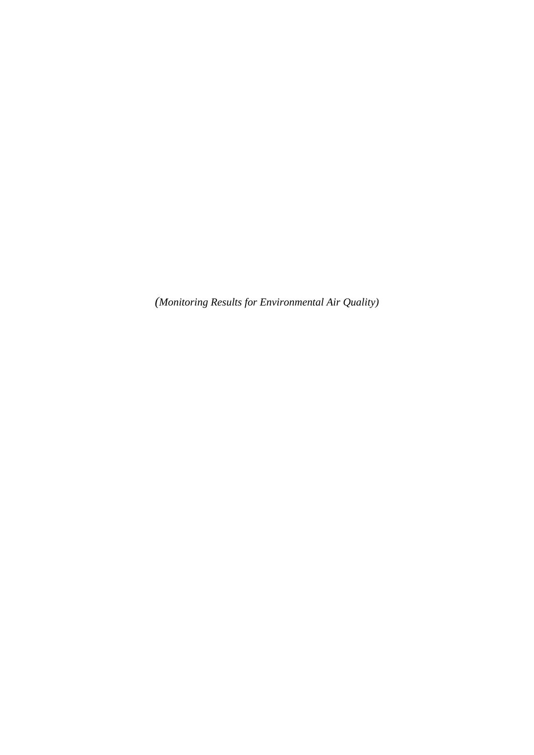*(Monitoring Results for Environmental Air Quality)*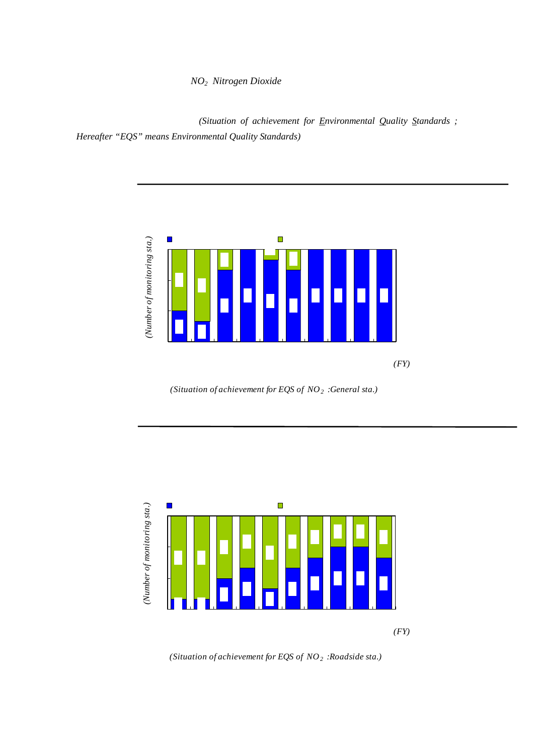$NO<sub>2</sub> Nitrogen Dioxide$ 

【一般局】

(Situation of achievement for *Environmental Quality Standards* ; *Hereafter "EQS" means Environmental Quality Standards)*



*(Situation of achievement for EQS of NO2 :General sta.)*





*(Situation of achievement for EQS of NO2 :Roadside sta.)*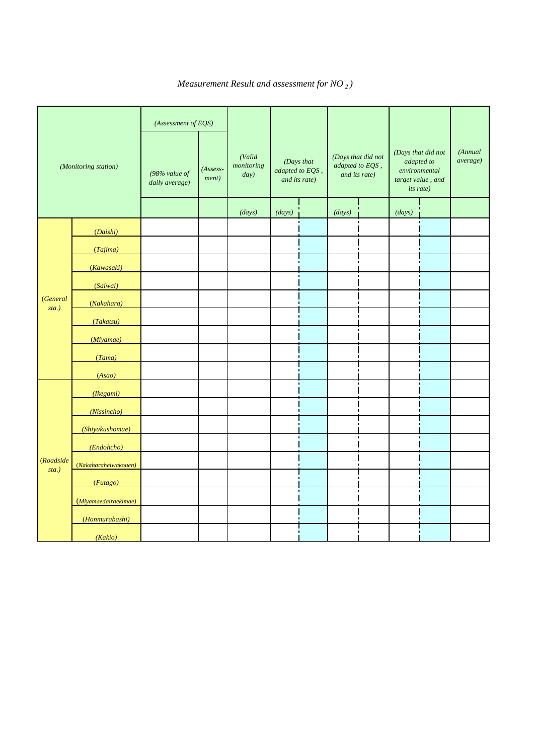$N O<sub>2</sub>$ ( *Measurement Result and assessment for NO <sup>2</sup> )*

|                       | (Monitoring station) | (Assessment of EQS)<br>98%<br>(<br>1)<br>$(98\%$ value of<br>daily average) | $\overline{2}$<br>$(Assess-$<br>ment) | (Valid<br>monitoring<br>day) | adapted to EQS,<br>and its rate) | (Days that | (Days that did not<br>adapted to EQS,<br>and its rate) |                | (Days that did not<br>adapted to<br>environmental<br><i>its rate</i> ) | 3<br>target value, and | (Annual<br><i>average</i> ) |
|-----------------------|----------------------|-----------------------------------------------------------------------------|---------------------------------------|------------------------------|----------------------------------|------------|--------------------------------------------------------|----------------|------------------------------------------------------------------------|------------------------|-----------------------------|
|                       |                      |                                                                             | $\pmb{\times}$                        | (days)                       | (days)                           |            | (days)                                                 |                | (days)                                                                 |                        |                             |
|                       | (Daishi)             | 0057                                                                        |                                       | 364                          | 361                              | 99.2       | 3                                                      | Q8             | 65                                                                     | 17.9                   | 0031                        |
|                       | (Tajima)             | 0058                                                                        |                                       | 364                          | 360                              | 989        | 4                                                      | 1.1            | 70                                                                     | 19.2                   | 0031                        |
|                       | (Kawasaki)           | 0055                                                                        |                                       | 364                          | 361                              | 99.2       | 3                                                      | Q8             | 69                                                                     | 19.0                   | 0031                        |
|                       | (Saiwai)             | 0054                                                                        |                                       | 365                          | 364                              | 99.7       | 1                                                      | Q3             | 92                                                                     | 25.2                   | 0028                        |
| (General              | (Nakahara)           | 0055                                                                        |                                       | 364                          | 363                              | 99.7       | 1                                                      | Q3             | 95                                                                     | 261                    | 0028                        |
| $sta.$ )              | (Takatsu)            | 0050                                                                        |                                       | 363                          | 363                              | 100        | $\overline{O}$                                         | 0              | 96                                                                     | 264                    | 0028                        |
|                       | (Miyamae)            | 0048                                                                        |                                       | 364                          | 364                              | 100        | $\mathsf O$                                            | $\mathbf 0$    | 127                                                                    | 34.9                   | QQ26                        |
|                       | (Tama)               | <b>QO45</b>                                                                 |                                       | 364                          | 364                              | 100        | $\mathsf O$                                            | $\overline{O}$ | 157                                                                    | 431                    | QQ24                        |
|                       | (Asao)               | 0038                                                                        |                                       | 363                          | 363                              | 100        | $\mathsf O$                                            | $\mathbf 0$    | 206                                                                    | 567                    | 0020                        |
|                       | (Kegami)             | 0070                                                                        | $\times$                              | 363                          | 330                              | 90.9       | 33                                                     | 9.1            | 13                                                                     | 36                     | QO45                        |
|                       | (Nissincho)          | 0053                                                                        |                                       | 363                          | 362                              | 99.7       | 1                                                      | Q <sub>3</sub> | 58                                                                     | 160                    | 0031                        |
|                       | (Shiyakushomae)      | 0061                                                                        | $\pmb{\times}$                        | 351                          | 342                              | 97.4       | 9                                                      | 26             | 31                                                                     | 88                     | 0038                        |
|                       | (Endohcho)           | <b>Q070</b>                                                                 | $\pmb{\times}$                        | 365                          | 325                              | 89.0       | 40                                                     | 11.0           | 10                                                                     | 27                     | QO46                        |
| (Roadside<br>$sta.$ ) | (Nakaharaheiwakouen) | 0053                                                                        |                                       | 365                          | 364                              | 99.7       | 1                                                      | Q3             | 60                                                                     | 164                    | 0031                        |
|                       | (Futago)             | 0065                                                                        | $\times$                              | 362                          | 334                              | 923        | 28                                                     | 7.7            | 8                                                                      | 22                     | QO45                        |
|                       | (Miyamaedairaekimae) | 0055                                                                        |                                       | 365                          | 365                              | 100        | O                                                      | $\mathsf{O}$   | 29                                                                     | 7.9                    | Q035                        |
|                       | (Honmurabashi)       | Q <sub>049</sub>                                                            |                                       | 359                          | 359                              | 100        | $\mathbf O$                                            | O              | 40                                                                     | 11.1                   | 0032                        |
|                       | (Kakio)              | <b>QO45</b>                                                                 |                                       | 363                          | 363                              | 100        | $\mathbf 0$                                            | O              | 50                                                                     | 138                    | 0030                        |

 $(1)$  98% extended to 98% and  $(98)$ 

 $\frac{1}{2}$   $\frac{98}{98}$  0.02ppm<br>3 1 0.02ppm  $(2)$  ,  $(3)$   $(98)$   $(0.06$ ppm  $\sim$ 98  $\sim$  0.06ppm  $\times$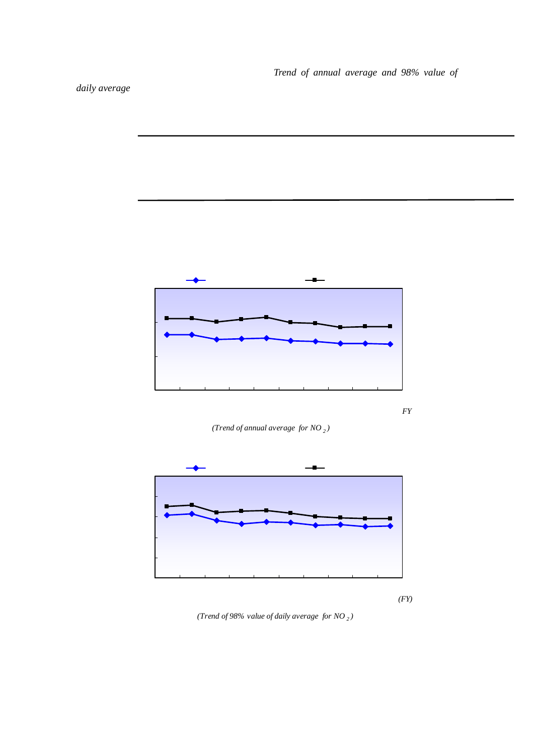

 $2001$ 

2006





*<sup>(</sup>Trend of annual average for NO <sup>2</sup> )*



*(Trend of 98% value of daily average for NO <sup>2</sup> )*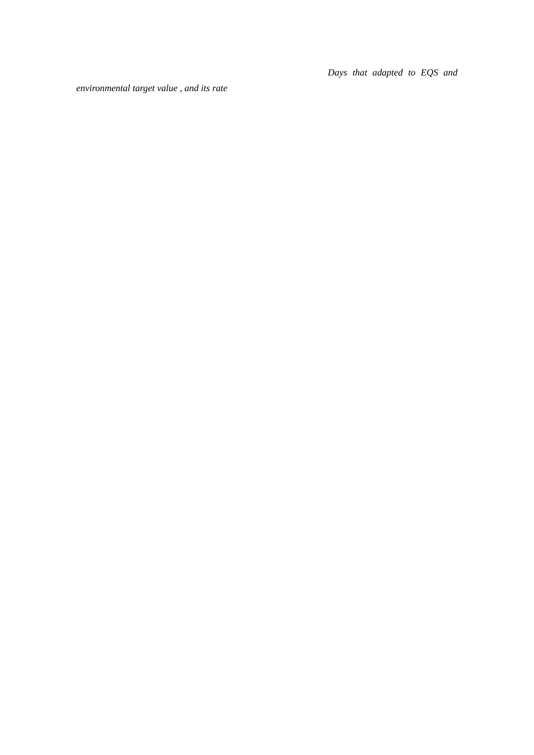Days that adapted to EQS and

*environmental target value , and its rate*

|      | $(OO\!G\!ppm)$     |     |      |     |      |      |      |      |
|------|--------------------|-----|------|-----|------|------|------|------|
|      |                    |     |      |     |      |      |      | 1999 |
|      | 98                 |     | 91   |     |      | 2006 |      |      |
|      |                    | 989 | 100  |     | 89.0 | 100  |      |      |
|      | Q <sub>02ppm</sub> |     |      |     |      |      |      |      |
|      |                    |     |      |     |      |      |      |      |
| 2001 | 20                 |     |      | 10  |      |      | 2006 |      |
|      |                    |     | 17.9 | 567 |      | 22   | 164  |      |
|      |                    |     |      |     |      |      |      |      |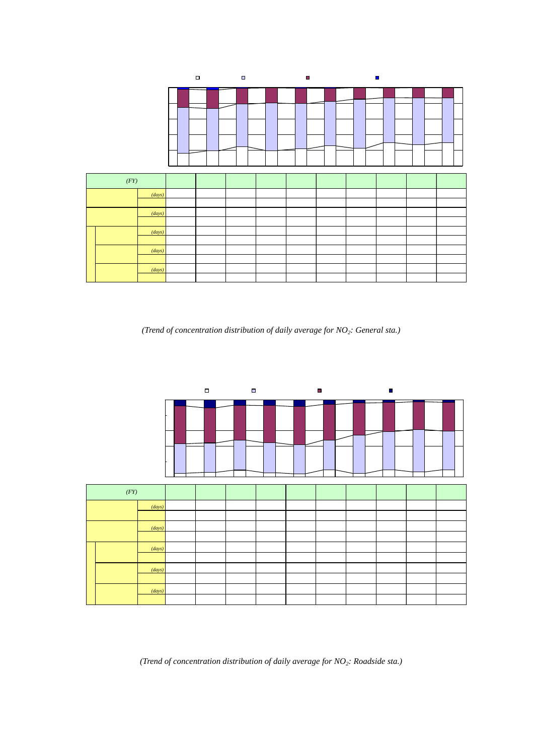|                                 |               |      | □NO2 002ppm |                 |                |          |          |                | □ 0.02ppm <no2<0.04ppm 0.04ppm="" 0.06ppm="" 0.06ppm<no2<="" no2="" th="" ■=""><th></th><th></th></no2<0.04ppm> |                |                |
|---------------------------------|---------------|------|-------------|-----------------|----------------|----------|----------|----------------|-----------------------------------------------------------------------------------------------------------------|----------------|----------------|
|                                 | 100%          |      |             |                 |                |          |          |                |                                                                                                                 |                |                |
|                                 | 80%           |      |             |                 |                |          |          |                |                                                                                                                 |                |                |
|                                 | 60%           |      |             |                 |                |          |          |                |                                                                                                                 |                |                |
|                                 | 40%           |      |             |                 |                |          |          |                |                                                                                                                 |                |                |
|                                 | 20%           |      |             |                 |                |          |          |                |                                                                                                                 |                |                |
|                                 | <b>O%</b>     |      |             |                 |                |          |          |                |                                                                                                                 |                |                |
| (FY)                            |               | 97   | 98          | 99              | $\infty$       | $\sigma$ | $\infty$ | $\alpha$       | O4                                                                                                              | O <sub>5</sub> | $\infty$       |
| QO6ppm <no<sub>2</no<sub>       | (days)        | 78   | 102         | 34              | $\overline{2}$ | 29       | 40       | 14             | 26                                                                                                              | 13             | 12             |
|                                 |               | 24   | 31          | 1.0             | Q <sub>0</sub> | Q9       | 1.2      | Q <sub>4</sub> | Q8                                                                                                              | Q <sub>4</sub> | Q <sub>4</sub> |
| NO <sub>2</sub> 006ppm          | (days)        | 3182 | 3167        | 3248            | 3249           | 3227     | 3231     | 3192           | 3241                                                                                                            | 3165           | 3263           |
|                                 |               | 97.6 | 969         | 99.0            | 99.3           | 99.1     | 988      | 99.6           | 99.2                                                                                                            | 99.6           | 99.6           |
| QO4ppm                          | (days)        | 752  | 778         | 665             | 628            | 646      | 543      | 461            | 402                                                                                                             | 412            | 429            |
| $NO2$ $O0$ $O0$ $O0$            |               | 231  | 238         | 203             | 19.2           | 19.8     | 166      | 14.4           | 123                                                                                                             | 130            | 131            |
| $002$ <no<sub>2&lt;004</no<sub> | (days)        | 1907 | 1763        | 1786            | 1978           | 1879     | 1854     | 2006           | 1877                                                                                                            | 1888           | 1857           |
|                                 |               | 585  | 539         | 54.4            | 605            | 57.7     | 567      | 626            | 57.5                                                                                                            | 59.4           | 567            |
| $NO2$ $OO2$ ppm                 | (days)        | 523  | 626         | 797             | 643            | 702      | 834      | 725            | 962                                                                                                             | 865            | 977            |
|                                 |               | 160  | 191         | 24.3            | 19.7           | 21.6     | 25.5     | 226            | 29.4                                                                                                            | 27.2           | 29.8           |
|                                 |               |      |             |                 |                |          |          |                |                                                                                                                 |                |                |
|                                 | $\mathcal{L}$ | 9    |             |                 |                |          |          |                |                                                                                                                 |                |                |
|                                 |               |      |             | NO <sub>2</sub> |                |          |          |                |                                                                                                                 |                |                |

*(Trend of concentration distribution of daily average for NO<sub>2</sub>: General sta.)* 

|                                    |               |      | □NO2 002ppm |      |          |          | □ Q02ppm <n02<q04ppm n02="" q04ppm="" q06ppm="" q06ppm<n02<="" th="" ■=""><th></th><th></th><th></th><th></th></n02<q04ppm> |          |      |                |          |
|------------------------------------|---------------|------|-------------|------|----------|----------|-----------------------------------------------------------------------------------------------------------------------------|----------|------|----------------|----------|
|                                    | 100%          |      |             |      |          |          |                                                                                                                             |          |      |                |          |
|                                    | 80%           |      |             |      |          |          |                                                                                                                             |          |      |                |          |
|                                    | 60%           |      |             |      |          |          |                                                                                                                             |          |      |                |          |
|                                    |               |      |             |      |          |          |                                                                                                                             |          |      |                |          |
|                                    | 40%           |      |             |      |          |          |                                                                                                                             |          |      |                |          |
|                                    | 20%           |      |             |      |          |          |                                                                                                                             |          |      |                |          |
|                                    |               |      |             |      |          |          |                                                                                                                             |          |      |                |          |
|                                    | <b>O%</b>     |      |             |      |          |          |                                                                                                                             |          |      |                |          |
| (FY)                               |               | 97   | 98          | 99   | $\infty$ | $\alpha$ | $\infty$                                                                                                                    | $\alpha$ | O4   | O <sub>5</sub> | $\infty$ |
| $006$ ppm $\kappa$ NO <sub>2</sub> | (days)        | 270  | 342         | 237  | 250      | 290      | 200                                                                                                                         | 138      | 122  | 89             | 112      |
|                                    |               | 83   | 105         | 7.2  | 7.7      | 90       | 62                                                                                                                          | 4.3      | 38   | 28             | 34       |
| NO <sub>2</sub> 006ppm             | (days)        | 2997 | 2923        | 3037 | 3014     | 2943     | 3030                                                                                                                        | 3080     | 3062 | 3121           | 3144     |
|                                    |               | 91.7 | 89.5        | 928  | 923      | 91.0     | 938                                                                                                                         | 957      | 96.2 | 97.2           | 966      |
| QO4ppm                             | (days)        | 1596 | 1489        | 1480 | 1571     | 1608     | 1494                                                                                                                        | 1345     | 1191 | 1156           | 1213     |
| $NO2$ $O2$ $O2$                    |               | 489  | 456         | 45.2 | 481      | 49.7     | 463                                                                                                                         | 41.8     | 37.4 | 360            | 37.3     |
| 002 <no<sub>2&lt;004</no<sub>      | (days)        | 1250 | 1245        | 1274 | 1270     | 1206     | 1248                                                                                                                        | 1593     | 1586 | 1764           | 1632     |
|                                    |               | 383  | 381         | 389  | 389      | 37.3     | 386                                                                                                                         | 49.5     | 49.8 | 55.0           | 501      |
| $NO2$ $OO2$ ppm                    | (days)        | 151  | 189         | 283  | 173      | 129      | 288                                                                                                                         | 142      | 285  | 201            | 299      |
|                                    |               | 46   | 58          | 86   | 53       | 40       | 89                                                                                                                          | 4.4      | 9.0  | 63             | 9.2      |
|                                    |               |      |             |      |          |          |                                                                                                                             |          |      |                |          |
|                                    |               |      | l           |      |          |          |                                                                                                                             |          |      |                |          |
|                                    | $\mathcal{C}$ | 9    |             |      |          |          |                                                                                                                             |          |      |                |          |

*(Trend of concentration distribution of daily average for NO2: Roadside sta.)* 

 $NO<sub>2</sub>$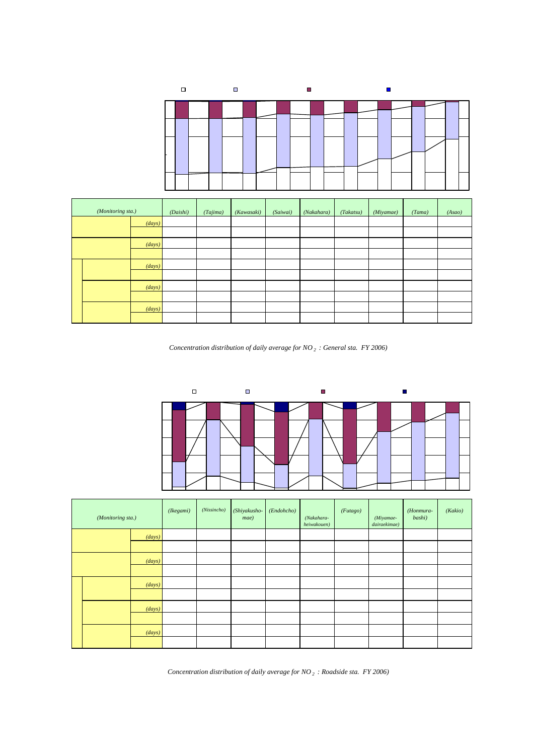

| 100%      |  |  |  |  |  |  |  |  |  |  |
|-----------|--|--|--|--|--|--|--|--|--|--|
|           |  |  |  |  |  |  |  |  |  |  |
| 80%       |  |  |  |  |  |  |  |  |  |  |
| 60%       |  |  |  |  |  |  |  |  |  |  |
| 40%       |  |  |  |  |  |  |  |  |  |  |
| 20%       |  |  |  |  |  |  |  |  |  |  |
| <b>0%</b> |  |  |  |  |  |  |  |  |  |  |

|  | (Monitoring sta.)                                            |        | (Daishi) | (Tajima) | (Kawasaki) | (Saiwai) | (Nakahara) | (Takatsu) | (Miyamae) | (Tama) | (Asao) |
|--|--------------------------------------------------------------|--------|----------|----------|------------|----------|------------|-----------|-----------|--------|--------|
|  | O <b>Oppm<sub>3</sub></b>                                    | (days) |          |          |            |          |            |           |           |        |        |
|  |                                                              |        | 08       | 1.1      | 08         | Q3       | Q3         |           |           |        |        |
|  | <b>NO2</b>                                                   | (days) | 361      | 360      | 361        | 364      | 363        | 363       | 364       | 364    | 363    |
|  | QOGppm                                                       |        | 99.2     | 989      | 99.2       | 99.7     | 99.7       | 100       | 100       | 100    | 100    |
|  | QO4ppm                                                       | (days) | 70       | 68       | 66         | 53       | 57         | 49        | 37        | 23     | 6      |
|  | <b>QOGppm</b><br>NO <sub>2</sub>                             |        | 19.2     | 187      | 181        | 14.5     | 157        | 135       | 102       | 63     | 1.7    |
|  | $0.02 < N_0 < 0.04$<br>NO <sub>2</sub><br>Q <sub>02ppm</sub> | (days) | 226      | 222      | 226        | 219      | 211        | 218       | 200       | 184    | 151    |
|  |                                                              |        | 621      | 61.0     | 621        | 600      | 580        | 601       | 54.9      | 505    | 41.6   |
|  |                                                              | (days) | 65       | 70       | 69         | 92       | 95         | 96        | 127       | 157    | 206    |
|  |                                                              |        | 17.9     | 19.2     | 19.0       | 25.2     | 261        | 264       | 34.9      | 431    | 567    |

 $NO<sub>2</sub>$  2006

(*Concentration distribution of daily average for NO 2 : General sta. FY 2006)*

 $\langle$  >

NO2≦0.02ppm 0.02ppm<NO2<0.04ppm 0.04ppm≦NO2≦0.06ppm 0.06ppm<NO2 0% 20% 40% 60% 80% 100%

| (Monitoring sta.)         |        | (Ikegami) | (Nissincho)    | (Shiyakusho-<br>mae) | (Endohcho) | (Nakahara-<br>heiwakouen) | (Futago) | (Miyamae-<br>dairaekimae) | (Honmura-<br>bashi) | (Kakio) |
|---------------------------|--------|-----------|----------------|----------------------|------------|---------------------------|----------|---------------------------|---------------------|---------|
| OO(ppmkNO <sub>2</sub> )  | (days) | 33        |                |                      | 40         |                           | 28       |                           |                     | C       |
|                           |        | 9.1       | Q <sub>3</sub> | 26                   | 11.0       | Q <sub>3</sub>            | 7.7      |                           |                     | C       |
|                           | (days) | 330       | 362            | 342                  | 325        | 364                       | 334      | 365                       | 359                 | 363     |
| QOGppm<br>NO <sub>2</sub> |        | 909       | 99.7           | 97.4                 | 89.0       | 99.7                      | 923      | 100                       | 100                 | 100     |
| QO4ppm                    | (days) | 213       | 72             | 166                  | 219        | 70                        | 225      | 122                       | 81                  | 45      |
| $NO2$ $OO(ppm$            |        | 587       | 19.8           | 47.3                 | 600        | 19.2                      | 622      | 334                       | 226                 | 124     |
| $002$ < $NO_2$ < $004$    | (days) | 104       | 232            | 145                  | 96         | 234                       | 101      | 214                       | 238                 | 268     |
|                           |        | 287       | 639            | 41.3                 | 263        | 64.1                      | 27.9     | 586                       | 663                 | 738     |
|                           | (days) | 13        | 58             | 31                   | 10         | 60                        | 8        | 29                        | 40                  | 50      |
| $NO2$ $OO2$ ppm           |        | 36        | 160            | 88                   | 27         | 164                       | 22       | 7.9                       | 11.1                | 138     |

 $NO<sub>2</sub>$  2006 (*Concentration distribution of daily average for NO 2 : Roadside sta. FY 2006)*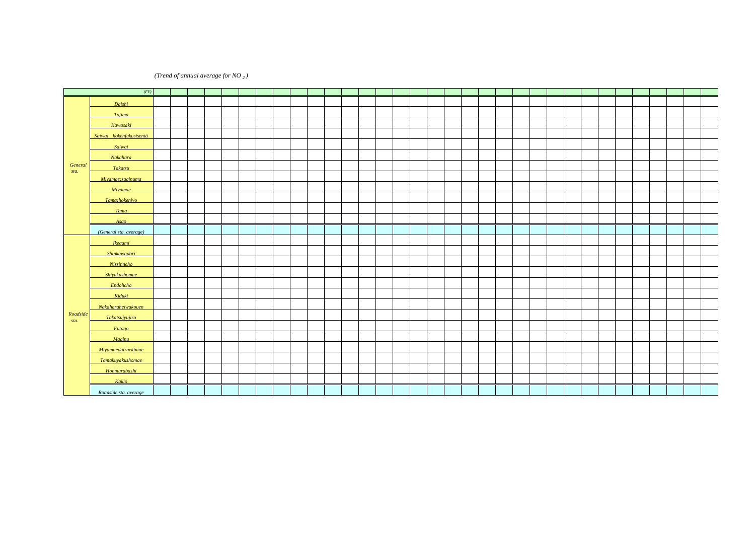$(Trend of annual average for NO<sub>2</sub>)$ 

|                  | (FY)                    | 74               | 75   | ppm<br>76 | 77   | 78   | 79                | $80^{\circ}$ | 81   | 82                       | 83   | 84                          | 85   | 86                | 87            | 88   | 89                   | 90        | 91            | 92    | 93   | 94               | 95        | 96   | 97   | 98          | 99                          | $\infty$         | $\Omega$         | $\infty$  | $\Omega$         | $\Omega$          | Œ.                | $\infty$         |
|------------------|-------------------------|------------------|------|-----------|------|------|-------------------|--------------|------|--------------------------|------|-----------------------------|------|-------------------|---------------|------|----------------------|-----------|---------------|-------|------|------------------|-----------|------|------|-------------|-----------------------------|------------------|------------------|-----------|------------------|-------------------|-------------------|------------------|
|                  |                         | 0029             | 0028 | 0028      | QQ26 | 0027 | 0025              | 0025         | 0024 | 0024                     | 0033 | 0037                        | 0033 | 0035 0036         |               | 0035 | 0036                 | 0038      | 0041          | 0038  | 0035 | 0036             | 0034      | 0035 | Q036 | Q036        | 0033                        | 0033 0034        |                  | 0033      | 0032             | 0031              | 0032              | 0031             |
|                  | Daishi                  |                  |      |           |      |      |                   |              |      |                          |      |                             |      |                   |               |      |                      |           |               |       |      |                  |           |      |      |             |                             |                  |                  |           |                  |                   |                   |                  |
|                  | <b>Tajima</b>           | 0 <sub>037</sub> | 0033 | 0037      | Q035 | 0036 | 0036              | 0033         | 0033 | 0028 0032                |      | 0032                        | 0033 | 0033              | 0036          | 0035 | 0036                 | 0037      | 0038          | 0036  | 0034 | 0035             | 0033      | 0034 | 0036 | 0036        | 0032                        | 0.032 0.034      |                  | 0031      | 0031             | 0030              | 0031              | 0031             |
|                  | Kawasaki                | 0032             | 0037 | Q035      | 0034 | 0030 | 0 <sub>0</sub> 24 | QQ27         | 0025 | 0023                     | 0034 | 0035                        | 0033 | 0 <sub>0</sub> 35 | Q036          | 0035 | 0037 0038            |           | 0039          | 0038  | 0035 | 0036             | 0034      | 0036 | Q036 | Q036        | 0 <sub>0</sub> <sub>3</sub> | Q034             | 0035             | 0033      | 0032             | 0031              | 0030              | 0031             |
|                  | Saiwai hokenfukusisentâ | 0031             | 0032 | 0033      | 0031 | 0026 | 0023              | 0028         | 0027 | 0.023 0.030              |      | 0035                        | 0032 | 0034              | 0034          | 0034 | 0034                 | 0.035     | 0037          | 0036  | 0034 | 0034             | 0033      | 0035 | 0035 | 0035        | 0032                        | 0032             | 0032             | 0031      | 0031             | 0029              |                   |                  |
|                  | Saiwai                  |                  |      |           |      |      |                   |              |      |                          |      |                             |      |                   |               |      |                      |           |               |       |      |                  |           |      |      |             |                             |                  |                  |           |                  |                   | 0027              | 0028             |
|                  | Nakahara                | 0030             | 0029 | 0030      | 0031 | QQ26 | 0022              | 0019 0019    |      | 0020 0029                |      | 0031                        | 0029 | 0031              | 0032          | 0031 | 0032                 | 0.033     | 0034          | 0033  | 0031 | 0030             | 0030      | 0033 | 0032 | 0032        | 0029                        | 0030 0030        |                  | 0029      | 0029             | 0027              | 0028              | 0028             |
| General          | Takatsu                 | 0030             | 0030 | 0030      | 0032 | 0035 | 0029              | 0027 0031    |      | (0.033) 0.031            |      | 0030                        | 0028 | 0032              | 0032          | 0031 | 0032                 | 0033      | 0034          | 0033  | 0032 | 0031             | 0031      | 0032 | 0032 | 0032        | 0030                        | 0031             | 0031             | 0030      | 0030             | 0027              | 0028              | 0028             |
| sta.             | Mivamae: saginuma       |                  |      |           |      | 0028 | 0025              | 0024         | 0021 | 0024                     | 0032 | 0 <sub>0</sub> <sub>3</sub> | 0027 | 0029              | 0030          | 0030 | 0030                 | 0.031     | 0033          | 0.032 | 0031 | 0030             | 0030      | 0032 | 0032 | Q032        | 0029                        | 0029             | 0.030            | 0028      | 0027             |                   |                   |                  |
|                  | Miyamae                 |                  |      |           |      |      |                   |              |      |                          |      |                             |      |                   |               |      |                      |           |               |       |      |                  |           |      |      |             |                             |                  |                  |           |                  | 0026              | 0027              | QQ26             |
|                  | Tama:hokenjyo           | 0026             | 0021 | 0028      | QQ26 | QQ26 | 0025              | 0026         | 0027 | QO24                     | 0032 | 0 <sup>0</sup> 34           | 0026 | 0028              | 0030          | 0030 | 0029                 | 0030      | 0033 0030     |       |      |                  |           |      |      |             |                             |                  |                  |           |                  |                   |                   |                  |
|                  |                         |                  |      |           |      |      |                   |              |      |                          |      |                             |      |                   |               |      |                      |           |               |       | QQ26 | 0.027            | QQ26      | 0028 | 0028 | 0028        | 0026                        | Q026             | 0026             | 0025      | 0025             | 0023              | 0023              | 0024             |
|                  | Tama<br>Asao            |                  |      |           |      |      | QQ26              | 0025         | 0025 | 0023 0024                |      | 0 <sup>024</sup>            | 0023 | 0024              | 0024          |      | 0025 0025 0025 0027  |           |               | 0025  | 0025 | Q <sub>024</sub> | QO24      | 0026 | QQ26 | 0025        | 0024                        | 0025             | 0022             | 0021      | 0022             | 0021              | 0021              | 0020             |
|                  | (General sta, average)  | 0031             | 0030 | 0032      | 0031 | 0029 |                   |              |      | 0026 0026 0026 0024 0031 |      | 0032 0029 0031              |      |                   | 0032          |      | $0032$ $0032$ $0033$ |           | $0035$ $0033$ |       | 0031 | 0031             | 0031      | 0032 | 0033 | 0.032 0.030 |                             | 0030 0030        |                  | 0029 0029 |                  | 0027              | 0027              | 0027             |
|                  |                         |                  |      |           |      |      |                   |              |      | 0048 0046 0047           |      | QO46                        | QO49 | QO51              | 0054          | 0054 | 0056                 | 0056      | 0056          | 0056  | 0051 | 0050             | QO49      | 0051 | 0051 | 0051        | QQ51                        | QO49             | 0 <sub>048</sub> | 0044      | 0 <sub>044</sub> | 0 <sub>043</sub>  | QO44              | QO45             |
|                  | <b>Ikegami</b>          |                  |      |           |      |      |                   | QO42         | 0038 | 0039                     | QO45 | QO42                        | QO43 | 0044              | QO49          | 0046 | QO45                 | 0046      | Q049          | QO47  | QO45 | QO45             | QO44      | QO46 | QO46 | QO46        | Q <sub>044</sub>            | 0044 0045        |                  | QO41      |                  |                   |                   |                  |
|                  | Shinkawadori            |                  |      |           |      |      |                   |              |      |                          |      |                             |      |                   |               |      |                      |           |               |       |      |                  |           |      |      |             |                             |                  |                  |           | 0034             | 0033              | 0032              | 0031             |
|                  | <b>Nissinncho</b>       |                  |      |           |      |      |                   |              |      |                          | 0035 | 0035                        | 0037 | Q039              | QO41          | QO41 | QO40                 | 0042      | 0044          | 0044  | 0040 | QO41             | 0039      | QO43 | QO43 | 0043        | QO40                        | 0043 0044        |                  | QO42      | QO43             | 0035              | 0 <sub>0</sub> 34 | 0038             |
|                  | Shiyakushomae           |                  |      |           |      |      |                   |              |      |                          |      |                             |      |                   |               |      |                      |           |               |       |      |                  |           |      |      |             |                             |                  |                  |           |                  |                   |                   |                  |
|                  | Endohcho                |                  |      |           |      |      |                   | QO44         |      | 0036 0036 0040           |      | 0035                        | 0037 | 0037              | 0037          | QO42 | QO43                 | QO42      | 0044          | 0043  | 0041 | 0040             | 0039      | QO41 | QO41 | QO40        | 0039                        | 0051             | 0000             | QO47      | 0048             | QO45              | Q046              | Q046             |
|                  | Kiduki                  |                  |      |           |      |      |                   | Q035         | 0032 | 0032                     | 0034 | 0037                        | 0034 | 0038              | 0038          | 0037 | Q036                 | 0036 0038 |               |       |      |                  |           |      |      |             |                             |                  |                  |           |                  |                   |                   |                  |
|                  | Nakaharaheiwakouen      |                  |      |           |      |      |                   |              |      |                          |      |                             |      |                   |               |      |                      |           |               |       | 0037 | 0036             | 0037      | 0038 | 0039 | 0.038 0.034 |                             | 0035 0036        |                  | 0033      | 0033             | 0031              | 0032              | 0031             |
| Roadside<br>sta. | Takatsuivuiiro          |                  |      |           |      |      |                   |              |      | 0043 0043 0036 0041 0036 |      |                             |      |                   |               |      |                      |           |               |       |      |                  |           |      |      |             |                             |                  |                  |           |                  |                   |                   |                  |
|                  | Futago                  |                  |      |           |      |      |                   |              |      |                          |      |                             |      |                   | 0045 0043     | QO44 | QO43                 | 0044      | 0047          | 0046  | QO45 | 0043             | 0044      | Q046 | 0045 | QO47 QO47   |                             | 0046 0049        |                  | QO47      | 0046             | Q044              | QO44              | QO45             |
|                  | Maginu                  |                  |      |           |      |      | Q036              | 0033         | 0030 | 0036 0039                |      | 0038                        | 0039 | 0040              | 0038          | 0038 | 0.036                | 0040      | 0038          | 0038  | 0036 | 0036             | Q036      | 0037 | 0037 | 0038        | 0035                        | 0035             |                  |           |                  |                   |                   |                  |
|                  | Mivamaedairaekimae      |                  |      |           |      |      |                   |              |      |                          |      |                             |      |                   |               |      |                      |           |               |       |      |                  |           |      |      |             |                             |                  |                  | 0042 0039 | 0038             | 0037              | Q036              | 0035             |
|                  | Tamakuyakushomae        |                  |      |           |      | 0039 | QQ27              |              |      | 0034 0026 0032 0042 0039 |      |                             | 0037 |                   | $0038$ $0041$ | Q039 | 0038                 | 0039      | 0039          |       |      |                  |           |      |      |             |                             |                  |                  |           |                  |                   |                   |                  |
|                  | Honmurabashi            |                  |      |           |      |      |                   |              |      |                          |      |                             |      |                   |               |      |                      |           |               |       |      | 0035             | 0038      | QO40 | 0039 | 0040        | 0038                        | 0 <sub>037</sub> | 0038             | Q035      | 0036             | 0033              | 0033              | 0032             |
|                  | Kakio                   |                  |      |           |      |      |                   |              |      | 0024 0022 0025 0024      |      |                             | 0025 | 0.026 0.027       |               | 0025 | 0025 0.027           |           | 0034 0035     |       | 0034 | 0034             | 0036      | 0036 | 0038 | 0036        | 0034                        | 0035 0033        |                  | 0031      | 0031             | 0032              | 0031              | 0030             |
|                  | Roadside sta, average   |                  |      |           |      | 0039 |                   | 0032 0039    |      | 0035 0035 0039 0037      |      |                             |      | $\cos$ 0040 0041  |               |      | 0041 0040 0041       |           | Q043 Q044     |       | 0041 |                  | 0040 0040 | QO42 |      | 0042 0042   |                             | 0040 0042 0043   |                  |           |                  | 0 <sub>0</sub> 37 | 0 <sub>0</sub> 37 | 0 <sub>037</sub> |

 $1978$   $1983$   $4$ 

1991

60 12

注4)遠藤町測定局は2000年4月に、市役所前測定局は2000年8月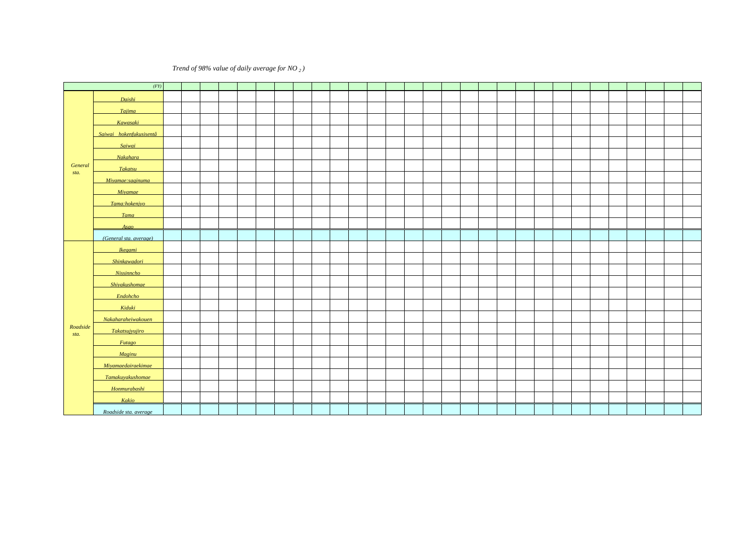### **98** (*Trend of 98% value of daily average for NO* <sub>2</sub> *)*

|          |                         |        |      | ppm          |             |                  |      |                |      |             |      |                            |      |                  |           |                  |      |                    |                  |               |      |      |                  |          |          |          |               |          |                |                  |
|----------|-------------------------|--------|------|--------------|-------------|------------------|------|----------------|------|-------------|------|----------------------------|------|------------------|-----------|------------------|------|--------------------|------------------|---------------|------|------|------------------|----------|----------|----------|---------------|----------|----------------|------------------|
|          | (FY)                    | 78     | 79   | $80^{\circ}$ | 81          | 82               | 83   | 84             | 85   | 86          | 87   | 88                         | 89   | 90               | 91        | 92               | 93   | 94                 | 95               | 96            | 97   | 98   | 99               | $\infty$ | $\sigma$ | $\infty$ | $\infty$      | $\alpha$ | O <sub>5</sub> | $\infty$         |
|          | Daishi                  | 0050   | 0048 | QO48         | QO45        | Q <sub>049</sub> | 0057 | 0068           | 0059 | 0065        | Q075 | 0064                       | 0066 | 0000             | 0074      | 0070             | 0063 | $Q$ <sup>067</sup> | QQ61             | 0063          | QQ67 | 0069 | 0000             | Q059     | 0000     | 0000     | 0057          | Q059     | 0057           | 0057             |
|          | Tajima                  | Q077   | 0068 | 0063         | QQ63        | 0052             | 0060 | 0068           | 0065 | 0065        | Q076 | 0067                       | QO74 | QO71             | 0074      | 0067             | 0066 | Q067               | Q <sub>061</sub> | QQ62          | 0068 | 0070 | 0059             | 0058     | 0000     | 0061     | 0.058         | 0058     | 0057           | 0058             |
|          | Kawasaki                | 0054   | 0042 | 0059         | <b>QO44</b> | 0000             | 0058 | 0066           | 0000 | 0063        | Q074 | 0065                       | Q073 | Q076             | 0074      | 0067             | 0065 | Q071               | 0062             | 0062          | 0066 | 0068 | 0061             | 0057     | QQ61     | 0062     | 0058          | 0058     | 0052           | 0055             |
|          | Saiwai hokenfukusisentâ | QO44   | QO40 | 0053         | QO48        | QO41             | 0055 | Q072           | 8800 | 0063        | 0070 | 0068                       | 0063 | Q079             | 0070      | 0065             | Q067 | 0065               | Q059             | 0063          | Q065 | 0067 | 0061             | 0056     | 0058     | 0058     | 0056          | 0056     |                |                  |
|          | Saiwai                  |        |      |              |             |                  |      |                |      |             |      |                            |      |                  |           |                  |      |                    |                  |               |      |      |                  |          |          |          |               |          | 0051           | 0054             |
|          | Nakahara                | 0054   | 0037 | Q035         | 0033        | 0046             | 0053 | 0066           | 0052 | 0059        | Q072 | 0000                       | 0066 | 0074 0066        |           | 0062             | 0063 | 0061               | 0056             | 0062          | 0062 | 0064 | 0058             | 0053     | 0057     | 0056     | 0051          | 0052     | 0054           | 0055             |
| General  | Takatsu                 | Q076   | 0000 | 0054         | 0051        | (0060)           | Q051 | 0058           | 0051 | 0058        | 0066 | 0060                       | 0065 | Q071             | 0062      | 0060             | 0061 | 0060               | 0055             | 0058          | 0062 | 0061 | 0057             | 0053     | 0055     | 0053     | 0052          | 0051     | 0051           | 0050             |
| sta.     | Miyamae: saginuma       | 0051   | QO47 | QO41         | 0039        | 0049             | 0053 | 0066           | Q049 | 0053        | 0064 | 0000                       | 0063 | QQ63             | 0000      | Q059             | 0060 | 0057               | 0054             | 0054          | 0060 | 0061 | 0054             | 0051     | 0053     | 0050     | 0048          |          |                |                  |
|          | Miyamae                 |        |      |              |             |                  |      |                |      |             |      |                            |      |                  |           |                  |      |                    |                  |               |      |      |                  |          |          |          |               | QO48     | QO49           | Q048             |
|          | Tama:hokenjyo           | 0056   | QO41 | 0052         | QO48        | QO46             | Q062 | Q072           | QO48 | 0054        | 0000 | 0056                       | QQ61 |                  | 0062 0058 | 0057             |      |                    |                  |               |      |      |                  |          |          |          |               |          |                |                  |
|          | Tama                    |        |      |              |             |                  |      |                |      |             |      |                            |      |                  |           |                  | QO49 | 0052               | Q <sub>049</sub> | 0053          | Q056 | 0055 | 0000             | QO47     | 0050     | 0047     | QO47          | 0045     | QO43           | QO45             |
|          | Asao                    |        | 0000 | 0051         | 0048        | 0045             | QO48 | 0050           | 0043 | QO49        | 0053 | 0051                       | 0056 | 0053 0055        |           | 0051             | 0052 | QO49               | 0048             | QO48          | 0050 | 0051 | 0047             | QO45     | 0040     | 0039     | 0040          | QO41     | 0038           | 0.038            |
|          | (General sta, average)  | 0058   | QO48 | 0051         | 0047        | 0047             | 0055 | 0065 0054      |      | 0059        | 0068 | 0061                       | 0065 | 0070             | 0066      | 0062             | 0061 | QQ61               | Q056             | 0058          | Q062 | 0063 | 0056             | 0053     | 0055     |          | 0054 0052     | 0052     | 0000           | 0051             |
|          | Ikegami                 |        |      |              | 0081        | 0089             | Q073 | 0085           | 0083 | 0091        | 0100 | 0093                       | 0105 | 0.102            | 0098      | 0088             | 0087 | 0084               | Q078             | 0000          | 0082 | 0086 | Q079             | Q079     | Q076     | 0070     | 0067          | 0069     | 0068           | 0070             |
|          | Shinkawadori            |        |      | 0080         | Q073        | 0065             | 0070 | Q079           | 0069 | Q071        | 0087 | Q074                       | Q079 | 0082             | 0086      | Q072             | Q073 | Q074               | 0068             | 0070          | Q072 | Q075 | 0065             | Q067     | 0066     | 0064     |               |          |                |                  |
|          | <b>Nissinncho</b>       |        |      |              |             |                  |      |                |      |             |      |                            |      |                  |           |                  |      |                    |                  |               |      |      |                  |          |          |          | 0054          | 0057     | 0056           | 0053             |
|          | Shivakushomae           |        |      |              |             |                  | 0058 | Q071           | 0066 | <b>QO70</b> | Q078 | Q074                       | 0071 | 0081             | 0087      | QO74             | 0068 | Q070               | 0066             | 0069          | Q073 | Q075 | 0064             | 0068     | 0068     | 0071     | Q067          | 0058     | 0056           | Q061             |
|          | Endohcho                |        |      | Q074         | Q067        | 0000             | 0065 | 0066           | Q064 | Q064        | 0067 | 0071                       | Q077 | 0000             | Q075      | Q <sub>071</sub> | 0069 | <b>QO70</b>        | 0065             | 0069          | Q073 | Q070 | 0066             | 0081     | Q075     | 0075     | Q071          | Q071     | 0073           | <b>Q070</b>      |
|          | Kiduki                  |        |      | 0063         | 0057        | 0059             | 0065 | Q070           | 0061 | 0065        | Q075 | 0073                       | Q069 | Q074             | Q069      |                  |      |                    |                  |               |      |      |                  |          |          |          |               |          |                |                  |
|          | Nakaharaheiwakouen      |        |      |              |             |                  |      |                |      |             |      |                            |      |                  |           |                  | 0070 | 0068               | Q064             | 0070          | QO71 | 0074 | Q062             | 0060     | QQ63     | 0059     | 0057          | 0056     | 0057           | 0053             |
| Roadside |                         |        |      | Q072         | Q072        | 0059             | 0065 | 0068           |      |             |      |                            |      |                  |           |                  |      |                    |                  |               |      |      |                  |          |          |          |               |          |                |                  |
| sta.     | <b>Takatsuivuiiro</b>   |        |      |              |             |                  |      |                |      | 0071        | Q073 | 0077                       | Q072 | 0081             | 0076      | Q071             | Q075 | 0068               | Q072             | 0073          | Q073 | Q076 | 0072             | 0068     | Q073     | Q071     | Q067          | Q067     | 0065           | 0065             |
|          | Futago                  |        | 0057 | 0058         | 0057        | 0067             | 0066 | 0066 0069      |      | Q071        | 0067 | 0068                       | 0063 | Q074             | 0062      | 0060             | 0062 | 0058               | 0059             | 0058          | QQ62 | 0065 | 0056             | 0054     |          |          |               |          |                |                  |
|          | Maginu                  |        |      |              |             |                  |      |                |      |             |      |                            |      |                  |           |                  |      |                    |                  |               |      |      |                  |          | QQ63     | 0000     | 0057          | 0057     | 0056           | 0055             |
|          | Miyamaedairaekimae      | Q065 I | QO43 | 0056         | 0050        | 0055             | 0067 | QQ62           | 0059 | QQ63        | Q073 | 0068                       | 0066 | Q070             | 0065      |                  |      |                    |                  |               |      |      |                  |          |          |          |               |          |                |                  |
|          | Tamakuyakushomae        |        |      |              |             |                  |      |                |      |             |      |                            |      |                  |           |                  |      | 0058               | 0060             | 0061          | 0064 | 0066 | 0059             | QQ58     | 0000     | 0055     | 0054          | 0052     | 0048           | Q <sub>049</sub> |
|          | Honmurabashi            |        |      |              | QO45        | QO47             | QO47 | 0046 0045      |      | QO49        | 0059 | 0048                       | 0050 | 0049             | 0057      | 0054             | 0054 | 0054               | 0055             | 0054          | 0059 | 0056 | 0053             | 0053     | 0051     | QO47     | <b>QO47</b>   | 0048     | QO47           | 0.045            |
|          | Kakio                   | 0065   | 0000 | QQ67         | 0063        |                  |      | 0064 0068 0065 |      | 0068        |      | $0.0075$ $0.0072$ $0.0072$ |      | Q <sub>077</sub> | Q075      | 0070             |      | Q070 Q067          | 0065             | $\Omega$ 0067 | 0070 | Q071 | $0064 \mid 0065$ |          | 0066     |          | $0064$ $0060$ | 0059     |                |                  |
|          | Roadside sta. average   |        |      |              |             |                  |      |                |      |             |      |                            |      |                  |           |                  |      |                    |                  |               |      |      |                  |          |          |          |               |          |                |                  |

 $1978$   $1983$   $4$ 1991

 $60$  12

 $\alpha$   $\alpha$   $\alpha$   $\alpha$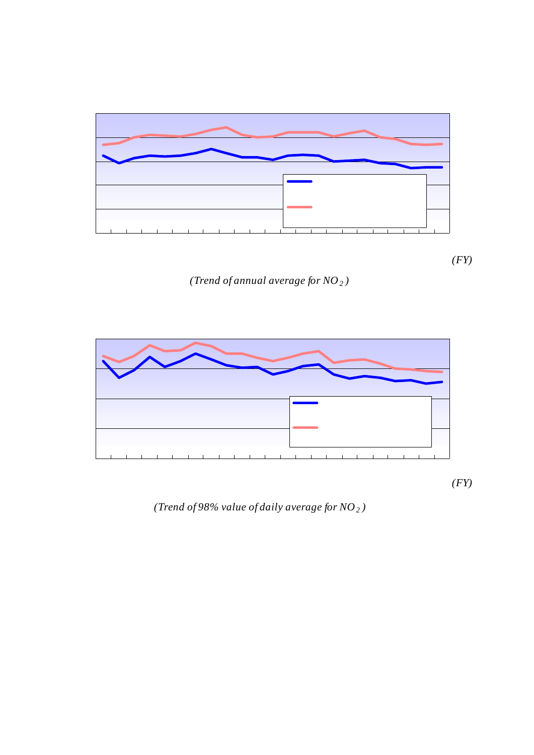

*(Trend of annual average for NO2 )*



*(Trend of 98% value of daily average for NO2 )*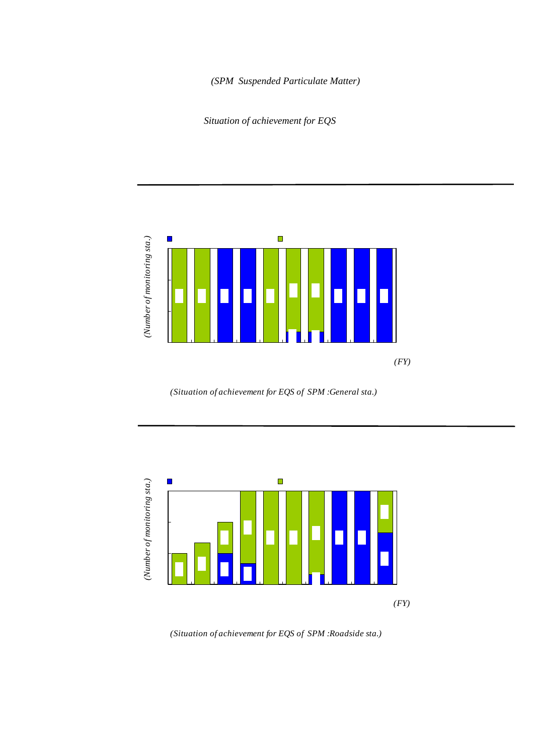# 2-2 浮遊粒子状物質 *(SPM Suspended Particulate Matter)*

Situation of achievement for EQS



*(Situation of achievement for EQS of SPM :General sta.)*



*(Situation of achievement for EQS of SPM :Roadside sta.)*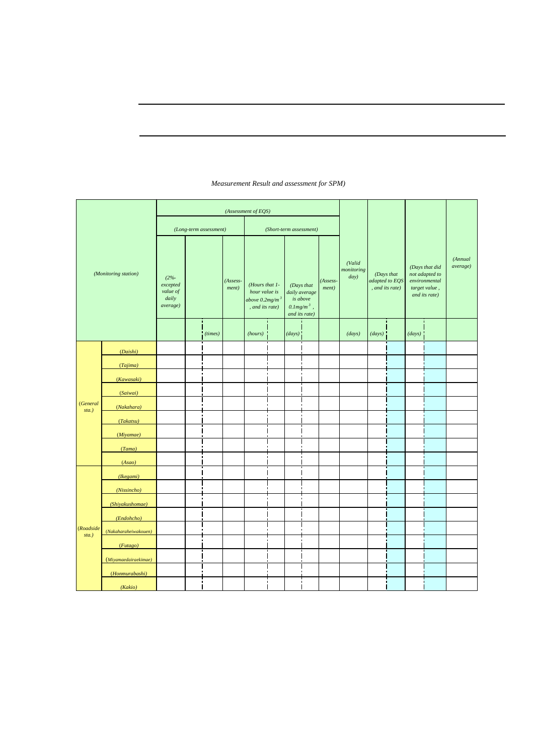|                               |                      |                                                        |                         |                     | (Assessment of EQS)                                                                                            |                |                                                                           |                         |                   |                              |                               |                |        |                                                                                     |                     |
|-------------------------------|----------------------|--------------------------------------------------------|-------------------------|---------------------|----------------------------------------------------------------------------------------------------------------|----------------|---------------------------------------------------------------------------|-------------------------|-------------------|------------------------------|-------------------------------|----------------|--------|-------------------------------------------------------------------------------------|---------------------|
|                               |                      |                                                        | (Long-term assessment)  |                     |                                                                                                                |                | (Short-term assessment)                                                   |                         |                   |                              |                               |                |        |                                                                                     |                     |
|                               | (Monitoring station) | $(2% - )$<br>excepted<br>value of<br>daily<br>average) | $010$ mg/m <sup>3</sup> | $(Assess-$<br>ment) | $020$ mg/m <sup>3</sup><br>(Hours that 1-<br>hour value is<br>above $0.2$ mg/m <sup>3</sup><br>, and its rate) |                | (Days that<br>daily average<br>is above<br>$0.1mg/m^3$ ,<br>and its rate) | $010$ mg/m <sup>3</sup> | (Assess-<br>ment) | (Valid<br>monitoring<br>day) | (Days that<br>, and its rate) | adapted to EQS |        | (Days that did<br>not adapted to<br>environmental<br>target value,<br>and its rate) | (Annual<br>average) |
|                               |                      | mg/m <sup>3</sup>                                      | (times)                 | $\pmb{\times}$      | (hours)                                                                                                        |                | (days)                                                                    |                         | $\pmb{\times}$    | (days)                       | (days)                        |                | (days) |                                                                                     | mg/m <sup>3</sup>   |
|                               | (Daishi)             | 0094                                                   | O                       |                     | 1                                                                                                              | <b>QO</b>      | 5                                                                         | 1.4                     | ×                 | 358                          | 353                           | 986            | 342    | 955                                                                                 | 0033                |
|                               | (Tajima)             | 0089                                                   | O                       |                     | 6                                                                                                              | Q <sub>1</sub> | 4                                                                         | 1.1                     | $\pmb{\times}$    | 359                          | 354                           | 986            | 346    | 964                                                                                 | 0032                |
|                               | (Kawasaki)           | 0000                                                   | O                       |                     | 2                                                                                                              | <b>QO</b>      | 3                                                                         | Q8                      | $\pmb{\times}$    | 358                          | 355                           | 99.2           | 349    | 97.5                                                                                | 0032                |
|                               | (Saiwai)             | 0081                                                   | O                       |                     | 5                                                                                                              | Q1             | 3                                                                         | Q8                      | $\pmb{\times}$    | 359                          | 355                           | 989            | 345    | 961                                                                                 | 0035                |
| <i>(General</i> )<br>$sta.$ ) | (Nakahara)           | 0066                                                   | O                       |                     | O                                                                                                              | O              | O                                                                         | O                       |                   | 360                          | 360                           | 100            | 358    | 99.4                                                                                | QQ29                |
|                               | (Takatsu)            | 0071                                                   | O                       |                     | O                                                                                                              | O              | O                                                                         | $\circ$                 |                   | 360                          | 360                           | 100            | 356    | 989                                                                                 | 0030                |
|                               | (Miyamae)            | Q078                                                   | O                       |                     | 1                                                                                                              | <b>QO</b>      | 1                                                                         | Q <sub>3</sub>          | ×                 | 332                          | 331                           | 99.7           | 322    | 97.0                                                                                | 0027                |
|                               | (Tama)               | 0081                                                   | O                       |                     | O                                                                                                              | O              | $\overline{\mathbf{c}}$                                                   | Ο6                      | $\pmb{\times}$    | 357                          | 355                           | 99.4           | 347    | 97.2                                                                                | 0031                |
|                               | (Asao)               | 0066                                                   | O                       |                     | O                                                                                                              | O              | O                                                                         | O                       |                   | 360                          | 360                           | 100            | 357    | 99.2                                                                                | QQ29                |
|                               | (Ikegami)            | 0105                                                   | 4                       | $\pmb{\times}$      | 26                                                                                                             | Q3             | 11                                                                        | 32                      | $\pmb{\times}$    | 347                          | 336                           | 968            | 316    | 91.1                                                                                | 0042                |
|                               | (Nissincho)          | 0083                                                   | O                       |                     | 4                                                                                                              | QO             | 4                                                                         | 1.1                     | ×                 | 357                          | 352                           | 986            | 345    | 966                                                                                 | 0031                |
|                               | (Shiyakushomae)      | Q077                                                   | 0                       |                     | 2                                                                                                              | QO             | $\overline{c}$                                                            | <b>Q6</b>               | $\pmb{\times}$    | 356                          | 354                           | 99.4           | 348    | 97.8                                                                                | 0032                |
|                               | (Endohcho)           | 0106                                                   | 1                       | $\pmb{\times}$      | 6                                                                                                              | Q1             | 8                                                                         | 22                      | $\times$          | 361                          | 353                           | 97.8           | 337    | 934                                                                                 | 0 <sub>037</sub>    |
| (Roadside                     | (Nakaharaheiwakouen) | 0081                                                   | O                       |                     | O                                                                                                              | O              | 1                                                                         | Q3                      | ×                 | 361                          | 360                           | 99.7           | 350    | 97.0                                                                                | 0031                |
| sta.)                         | (Futago)             | 0000                                                   | 1                       | $\pmb{\times}$      | 1                                                                                                              | QO             | 4                                                                         | 1.1                     | $\pmb{\times}$    | 358                          | 354                           | 989            | 340    | 950                                                                                 | 0 <sub>037</sub>    |
|                               | (Miyamaedairaekimae) | 0095                                                   | 1                       | $\pmb{\times}$      | 3                                                                                                              | <b>QO</b>      | 5                                                                         | 1.4                     | $\pmb{\times}$    | 361                          | 355                           | 983            | 342    | 94.7                                                                                | 0035                |
|                               | (Honmurabashi)       | 0064                                                   | O                       |                     | O                                                                                                              | O              | $\mathsf{o}$                                                              | O                       |                   | 361                          | 361                           | 100            | 359    | 99.4                                                                                | 0030                |
|                               | (Kakio)              | 0082                                                   | 0                       |                     | 5                                                                                                              | Q <sub>1</sub> | $\overline{2}$                                                            | <b>Q6</b>               | ×                 | 360                          | 356                           | 989            | 348    | 967                                                                                 | 0032                |

## SPM) ( *Measurement Result and assessment for SPM)*

 $0.10$ mg/m $3$  $010$ mg/m $3$  $\epsilon$ 

 $\begin{array}{ccc} \n\text{O20m}^3 & & \times \\
\text{O10m}^3 & & \text{O10m}^3\n\end{array}$  $0.20$ mg/m $3$  $(210 \text{mg/m}^3)$  $\epsilon$  $0.0125$ mg/m $3$ 

を超えた日数

 $\sim$  0.075mg/m $^{\circ}$ 

 $\mathcal{L}(\mathcal{C})$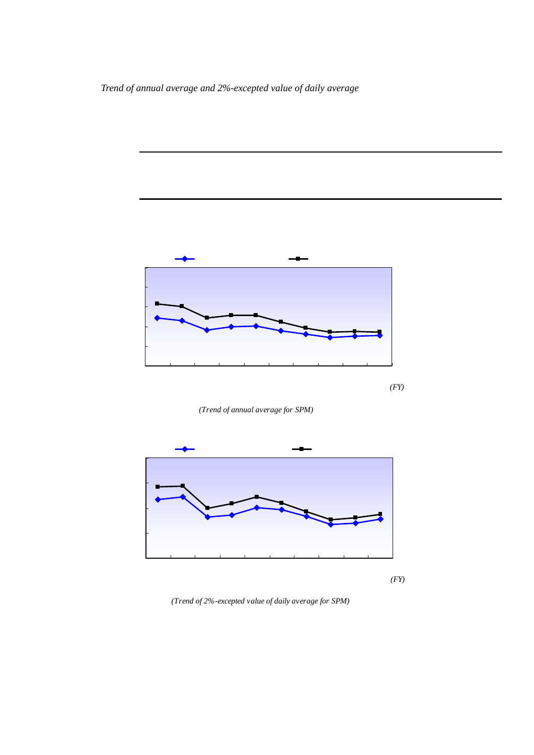*Trend of annual average and 2%-excepted value of daily average*

2001年度から2004年度まで一般局、自排局ともに減少傾向がみられたが、2005年度及び  $2006$   $\pm 0.010$  mg/m<sup>3</sup>



*(Trend of annual average for SPM)*



*(Trend of 2%-excepted value of daily average for SPM)*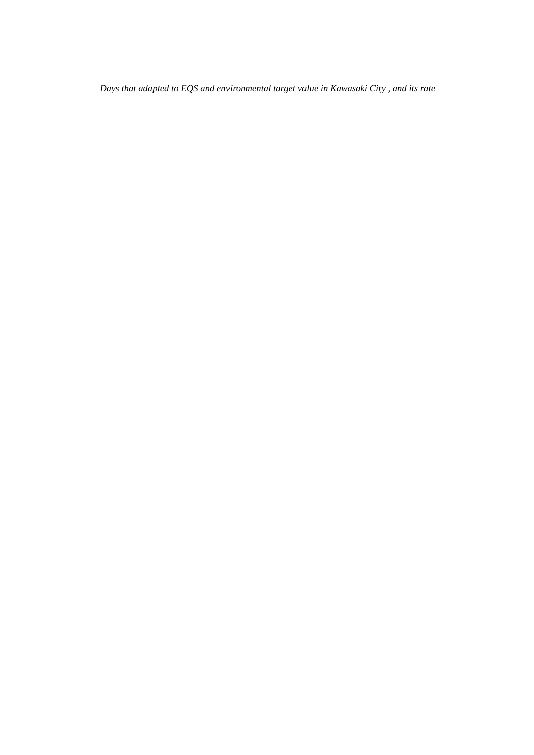|      |      | 010 $\text{mg/m}^3$       |      | 1    | $020$ mg/m <sup>3</sup> |      |
|------|------|---------------------------|------|------|-------------------------|------|
| 2002 |      | 2003                      | 986  | 100  | 99.4                    | 2006 |
| 968  | 100  | 987                       |      |      |                         |      |
|      |      | $0.075$ mg/m <sup>3</sup> |      |      |                         |      |
|      | 2001 |                           |      |      | 2005                    |      |
|      |      | 2006                      |      |      |                         | 955  |
| 99.4 | 97.5 |                           | 91.1 | 99.4 | 95.7                    |      |

*Days that adapted to EQS and environmental target value in Kawasaki City , and its rate*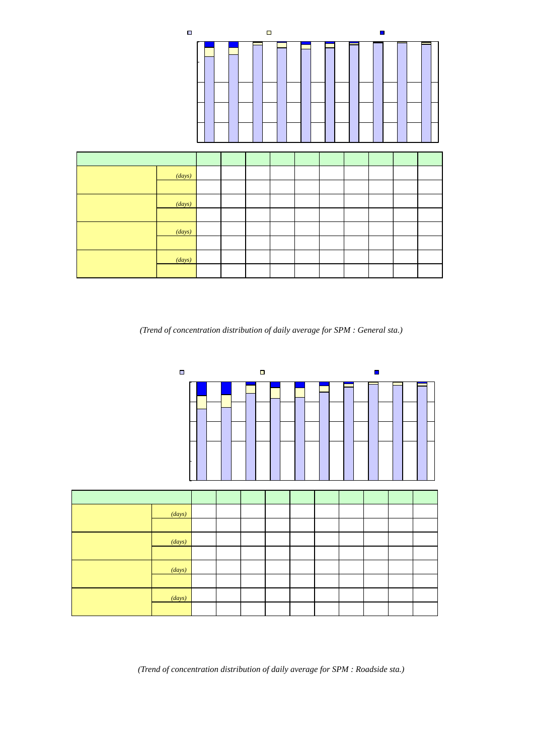|                                                                                                                                                                                                                                                  |               |                                               | □SPM 0075mg/m3 |      |           | □ 0.075mg/m3 <spm 0.1mg="" m3<="" th=""><th></th><th></th><th></th><th></th><th>□ Q1mg/m3<spm< th=""><th></th></spm<></th></spm> |          |          |          |                | □ Q1mg/m3 <spm< th=""><th></th></spm<> |                            |
|--------------------------------------------------------------------------------------------------------------------------------------------------------------------------------------------------------------------------------------------------|---------------|-----------------------------------------------|----------------|------|-----------|----------------------------------------------------------------------------------------------------------------------------------|----------|----------|----------|----------------|----------------------------------------|----------------------------|
|                                                                                                                                                                                                                                                  |               | 100%<br>80%<br>60%<br><b>40%</b><br>20%<br>O% |                |      |           |                                                                                                                                  |          |          |          |                |                                        |                            |
|                                                                                                                                                                                                                                                  | <b>FY</b>     |                                               | 97             | 98   | 99        | $\infty$                                                                                                                         | $\sigma$ | $\Omega$ | $\infty$ | $\mathsf{O}4$  | O <sub>5</sub>                         | $\infty$                   |
| Q1mg/m <sup>3</sup> <spm(< th=""><th></th><th>(days)</th><th>178</th><th>188</th><th>20</th><th>33</th><th>91</th><th>61</th><th>43</th><th>5</th><th>4</th><th><math>\boldsymbol{\mathsf{20}}</math></th></spm(<>                               |               | (days)                                        | 178            | 188  | 20        | 33                                                                                                                               | 91       | 61       | 43       | 5              | 4                                      | $\boldsymbol{\mathsf{20}}$ |
| 02mg/m <sup>3</sup> <spm(1< th=""><th><math>\mathcal{C}</math></th><th></th><th>56</th><th>58</th><th><u>06</u></th><th>1.0</th><th>28</th><th>1.9</th><th>1.3</th><th>Q<sub>2</sub></th><th>Q1</th><th><math>\overline{06}</math></th></spm(1<> | $\mathcal{C}$ |                                               | 56             | 58   | <u>06</u> | 1.0                                                                                                                              | 28       | 1.9      | 1.3      | Q <sub>2</sub> | Q1                                     | $\overline{06}$            |
| $Q1$ mg/m $3$ SPM(                                                                                                                                                                                                                               | $\lambda$     | (days)                                        | 3021           | 3042 | 3230      | 3214                                                                                                                             | 3155     | 3147     | 3145     | 3199           | 3130                                   | 3183                       |
| 02mg/m <sup>3</sup> SPM(1                                                                                                                                                                                                                        | $\mathcal{L}$ |                                               | 94.4           | 94.2 | 99.4      | 99.0                                                                                                                             | 97.2     | 981      | 987      | 99.8           | 99.9                                   | 99.4                       |
| $0.075$ mg/m $3$<br><spm< th=""><th></th><th>(days)</th><th>296</th><th>231</th><th>92</th><th>166</th><th>143</th><th>135</th><th>57</th><th>29</th><th>41</th><th>61</th></spm<>                                                               |               | (days)                                        | 296            | 231  | 92        | 166                                                                                                                              | 143      | 135      | 57       | 29             | 41                                     | 61                         |
| $Q1$ mg/m <sup>3</sup>                                                                                                                                                                                                                           |               |                                               | 9.2            | 7.2  | 28        | 51                                                                                                                               | 4.4      | 4.2      | 1.8      | 09             | 1.3                                    | 1.9                        |
| $SPM$ $QO75$ m $q/m3$                                                                                                                                                                                                                            |               | (days)                                        | 2725           | 2811 | 3138      | 3048                                                                                                                             | 3012     | 3012     | 3088     | 3170           | 3089                                   | 3122                       |
|                                                                                                                                                                                                                                                  |               |                                               | 85.2           | 87.0 | 966       | 93.9                                                                                                                             | 928      | 939      | 969      | 989            | 986                                    | 97.5                       |
| $\mathcal{C}$                                                                                                                                                                                                                                    |               | 9                                             | (              | )    |           |                                                                                                                                  |          |          |          |                |                                        |                            |

SPM

*(Trend of concentration distribution of daily average for SPM : General sta.)* 

|                                                                                                                                                                                                                              |               |                                                  | SPM 0075mg/m3 |      |      |          |          | □ 0075mg/m3 <spm 0.1mg="" m3<="" th=""><th></th><th></th><th>□Q1mg/m3<spm< th=""><th></th></spm<></th></spm> |                       |                | □Q1mg/m3 <spm< th=""><th></th></spm<> |                |
|------------------------------------------------------------------------------------------------------------------------------------------------------------------------------------------------------------------------------|---------------|--------------------------------------------------|---------------|------|------|----------|----------|--------------------------------------------------------------------------------------------------------------|-----------------------|----------------|---------------------------------------|----------------|
|                                                                                                                                                                                                                              |               | 100%<br>80%<br>60%<br><b>40%</b><br>20%<br>$O\%$ |               |      |      |          |          |                                                                                                              |                       |                |                                       |                |
|                                                                                                                                                                                                                              | <b>FY</b>     |                                                  | 97            | 98   | 99   | $\infty$ | $\alpha$ | $\Omega$                                                                                                     | $\boldsymbol{\alpha}$ | O4             | $\sigma$                              | $\infty$       |
| Q1mg/m <sup>3</sup> <spm(< th=""><th><math>\mathcal{E}</math></th><td>(days)</td><td>150</td><td>188</td><td>69</td><td>185</td><td>198</td><td>127</td><td>65</td><td>13</td><td>10</td><td>41</td></spm(<>                 | $\mathcal{E}$ | (days)                                           | 150           | 188  | 69   | 185      | 198      | 127                                                                                                          | 65                    | 13             | 10                                    | 41             |
| 02mg/m <sup>3</sup> <spm(1< th=""><th><math>\mathcal{C}</math></th><th></th><th>139</th><th>130</th><th>32</th><th>58</th><th>61</th><th>39</th><th>20</th><th>Q<sub>4</sub></th><th>Q<sub>3</sub></th><th>1.3</th></spm(1<> | $\mathcal{C}$ |                                                  | 139           | 130  | 32   | 58       | 61       | 39                                                                                                           | 20                    | Q <sub>4</sub> | Q <sub>3</sub>                        | 1.3            |
| $Q1$ mg/m $3$ SPM(                                                                                                                                                                                                           | $\mathcal{E}$ | (days)                                           | 926           | 1260 | 2083 | 2984     | 3038     | 3101                                                                                                         | 3183                  | 3207           | 3224                                  | 3181           |
| 02mg/m <sup>3</sup> SPM(1                                                                                                                                                                                                    | $\mathcal{L}$ |                                                  | 861           | 87.0 | 968  | 94.2     | 939      | 961                                                                                                          | 980                   | 99.6           | 99.7                                  | 987            |
| Q075mg/m <sup>3</sup><br>$\leq$ PM                                                                                                                                                                                           |               | (days)                                           | 145           | 187  | 184  | 351      | 310      | 204                                                                                                          | 106                   | 66             | 107                                   | 96             |
| Q1mg/m <sup>3</sup>                                                                                                                                                                                                          |               |                                                  | 135           | 129  | 86   | 11.1     | 9.6      | 64                                                                                                           | 33                    | 21             | 33                                    | $\frac{30}{2}$ |
| $SPM$ 0.075 $mg/m3$                                                                                                                                                                                                          |               | (days)                                           | 781           | 1073 | 1899 | 2633     | 2728     | 2897                                                                                                         | 3077                  | 3141           | 3117                                  | 3085           |
|                                                                                                                                                                                                                              |               |                                                  | 726           | 74.1 | 882  | 831      | 84.3     | 89.7                                                                                                         | 94.7                  | 97.5           | 964                                   | 957            |
| ⟩<br>(                                                                                                                                                                                                                       |               | 9<br>$\mathcal{C}$                               | (             | ⟩    |      |          |          |                                                                                                              |                       |                |                                       |                |

SPM

*(Trend of concentration distribution of daily average for SPM : Roadside sta.)*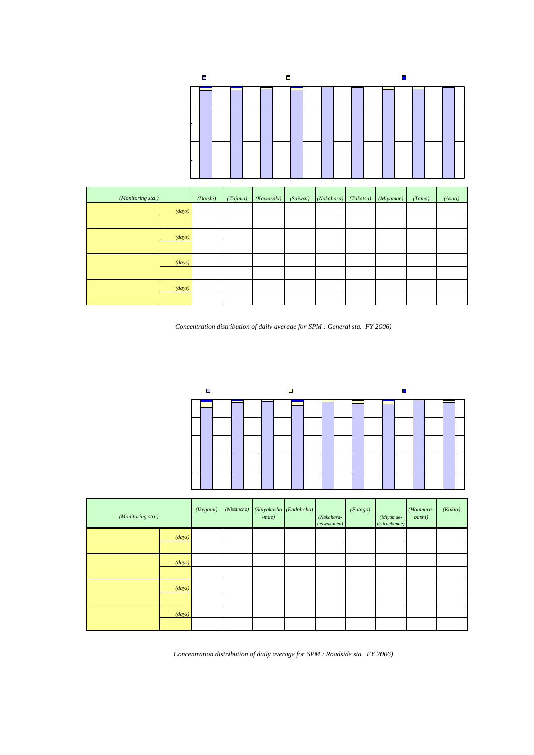|         |          | □SPM 0.075mg/m3 |            |          | □ 0.075mg/m3 <spm 0.1mg="" m3<="" th=""><th></th><th></th><th>■Q1mg/m3<spm< th=""><th></th></spm<></th></spm> |           |           | ■Q1mg/m3 <spm< th=""><th></th></spm<> |        |
|---------|----------|-----------------|------------|----------|---------------------------------------------------------------------------------------------------------------|-----------|-----------|---------------------------------------|--------|
| 100%    |          |                 |            |          |                                                                                                               |           |           |                                       |        |
| 80%     |          |                 |            |          |                                                                                                               |           |           |                                       |        |
| 60%     |          |                 |            |          |                                                                                                               |           |           |                                       |        |
| 40%     |          |                 |            |          |                                                                                                               |           |           |                                       |        |
| 20%     |          |                 |            |          |                                                                                                               |           |           |                                       |        |
| O%      |          |                 |            |          |                                                                                                               |           |           |                                       |        |
|         |          |                 |            |          |                                                                                                               |           |           |                                       |        |
| ζ sta.) | (Daishi) | (Tajima)        | (Kawasaki) | (Saiwai) | (Nakahara)                                                                                                    | (Takatsu) | (Miyamae) | (Tama)                                | (Asao) |

| (Monitoring sta.)                                                                                                                                |        | (Daishi) | (Tajima) | (Kawasaki) | (Saiwai) | (Nakahara) | (Takatsu) | (Miyamae) | (Tama) | (Asao)   |
|--------------------------------------------------------------------------------------------------------------------------------------------------|--------|----------|----------|------------|----------|------------|-----------|-----------|--------|----------|
| $Q1$ m $q/m^3$ <spm< td=""><td>(days)</td><td>5</td><td>5</td><td></td><td></td><td></td><td></td><td></td><td></td><td></td></spm<>             | (days) | 5        | 5        |            |          |            |           |           |        |          |
| $0.2$ m $/m3$ <spm(1)< th=""><th></th><th>1.4</th><th>1.4</th><th>08</th><th>1.1</th><th></th><th></th><th>Q3</th><th>Q6</th><th></th></spm(1)<> |        | 1.4      | 1.4      | 08         | 1.1      |            |           | Q3        | Q6     |          |
| $Q1$ m $q/m^3$ SPM                                                                                                                               | (days) | 353      | 354      | 355        | 355      | 360        | 360       | 331       | 355    | 360      |
| $Q2mg/m^3$ SPM(1)                                                                                                                                |        | 986      | 986      | 99.2       | 989      | 100        | 100       | 99.7      | 99.4   | 100      |
| $0.075$ mg/m <sup>3</sup><br>$\leq$ PM                                                                                                           | (days) | 11       | 8        |            | 10       |            |           |           |        | 3        |
| $Q1$ mg/m $3$                                                                                                                                    |        | 31       | 22       | 1.7        | 28       | Q6         | 1.1       | 27        | 22     | $\alpha$ |
| $SPM$ $QO75$ m $q/m^3$                                                                                                                           | (days) | 342      | 346      | 349        | 345      | 358        | 356       | 322       | 347    | 357      |
|                                                                                                                                                  |        | 955      | 964      | 97.5       | 961      | 99.4       | 989       | 97.0      | 97.2   | 99.2     |

 $SPM$  2006

(*Concentration distribution of daily average for SPM : General sta. FY 2006)*

 $\overline{7}$ 



| (Monitoring sta.)                      |                  | (Ikegami) | (Nissincho) | (Shiyakusho<br>$-mae)$ | (Endohcho) | (Nakahara-<br>heiwakouen) | (Futago) | (Miyamae-<br>dairaekimae) | (Honmura-<br>bashi) | (Kakio) |
|----------------------------------------|------------------|-----------|-------------|------------------------|------------|---------------------------|----------|---------------------------|---------------------|---------|
| $Q1$ mg/m <sup>3</sup> $\leq$ PM       | (days)           | 11        |             |                        | 8          |                           |          |                           |                     |         |
| $Q2mq/m^3$ SPM(1)                      |                  | 32        | 1.4         | <b>Q6</b>              | 22         | Q3                        | 1.1      | 1.7                       |                     | 1.1     |
| $Q1mg/m3$ SPM                          | (days)           | 336       | 352         | 354                    | 353        | 360                       | 354      | 355                       | 361                 | 356     |
| $Q2mq/m^3$ SPM(1)                      |                  | 968       | 986         | 99.4                   | 97.8       | 99.7                      | 989      | 983                       | 100                 | 989     |
| $0.075$ ma/m <sup>3</sup><br>$\leq$ PM | $\frac{days}{ }$ | 20        |             | 6                      | 16         | 10                        | 14       | 13                        |                     | 8       |
| $Q1$ mg/m <sup>3</sup>                 |                  | 57        | 20          | 1.6                    | 4.4        | 27                        | 39       | 36                        | 06                  | 22      |
| SPM 0.075mg/m <sup>3</sup>             | (days)           | 316       | 345         | 348                    | 337        | 350                       | 340      | 342                       | 359                 | 348     |
|                                        |                  | 91.1      | 966         | 97.8                   | 934        | 97.0                      | 95.0     | 94.7                      | 99.4                | 967     |

 $SPM$  2006 (*Concentration distribution of daily average for SPM : Roadside sta. FY 2006)*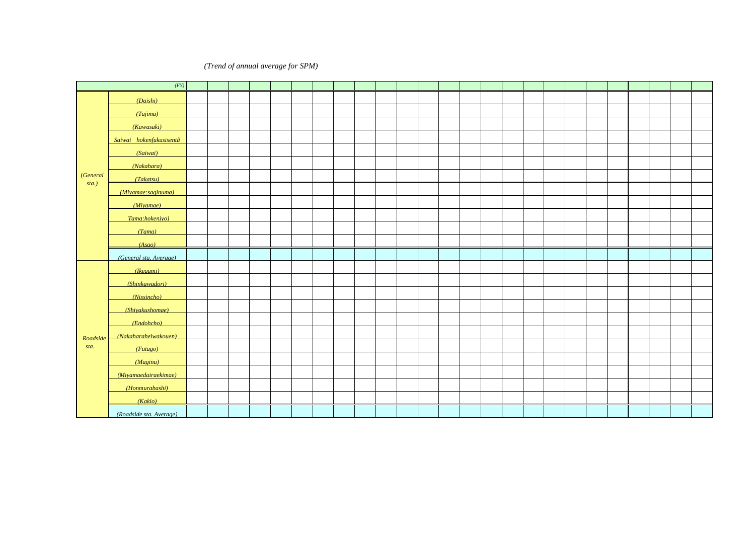# *(Trend of annual average for SPM)*

|                   |                         |                  |      | ma/m <sup>3</sup> |        |      |      |       |             |      |      |                |                   |      |      |                               |                   |      |                   |                  |          |               |          |                                        |                  |          |
|-------------------|-------------------------|------------------|------|-------------------|--------|------|------|-------|-------------|------|------|----------------|-------------------|------|------|-------------------------------|-------------------|------|-------------------|------------------|----------|---------------|----------|----------------------------------------|------------------|----------|
|                   | (FY)                    | 82               | 83   | 84                | 85     | 86   | 87   | 88    | 89          | 90   | 91   | 92             | 93                | 94   | 95   | 96                            | 97                | 98   | 99                | $\infty$         | $\alpha$ | $\alpha$      | $\alpha$ | $\alpha$                               | $\sigma$         | $\infty$ |
|                   | (Daishi)                | <b>QO47</b>      | 0049 | 0051              | (0036) | 0048 | 0051 | 0048  | 0059        | 0061 | 0066 | 0059           | 0053              | 0052 | 0042 | 0046                          | 0049              | 0046 | 0037              | 0042             | 0044     | 0038          | 0033     | 0030                                   | 0032             | 0033     |
|                   | (Tajima)                | (0056)           | 0046 | 0.045             | 0044   | 0054 | QQ61 | 0056  | 0059        | 0059 | 0062 | 0060           | 0057              | 0057 | 0049 | QO47                          | 0048              | 0045 | 0036              | 0039             | 0040     | 0034          | 0032     | 0031                                   | 0031             | 0032     |
|                   | (Kawasaki)              | 0000             | 0046 | 0043              | 0043   | 0051 | 0051 | 0049  | 0058        | 0062 | 0066 | 0060           | 0056              | 0055 | 0046 | 0048                          | 0050              | 0048 | 0037              | QO43             | 0042     | 0037          | 0033     | 0031                                   | 0033             | 0032     |
|                   | Saiwai hokenfukusisentâ | 0053             | Q046 | 0050              | 0043   | 0050 | 0051 | 0051  | 0046        | QO47 | QO47 | 0055           | 0 <sub>0</sub> 53 | QO49 | 0051 | 0048                          | QO47              | QO47 | 0036              | QO41             | 0039     | 0036          | 0.032    | 0031                                   |                  |          |
|                   | (Saiwai)                |                  |      |                   |        |      |      |       |             |      |      |                |                   |      |      |                               |                   |      |                   |                  |          |               |          |                                        | 0031             | 0035     |
|                   | (Nakahara)              | QO49             | 0048 | 0048              | 0044   | 0047 | 0053 | 0044  | 0043        | 0044 | Q046 | 0048           | 0051              | 0051 | 0052 | 0048                          | 0046              | 0043 | 0034              | 0 <sub>037</sub> | 0033     | 0033          | 0030     | 0026                                   | 0028             | 0029     |
| <i>(General</i> ) | (Takatsu)               | QO49             | Q049 | 0047              | 0045   | 0050 | 0052 | 0050  | 0044        | 0045 | 0043 | 0045           | 0055              | 0056 | 0055 | 0050                          | 0049              | 0048 | 0038              | 0041             | 0040     | 0035          | 0033     | 0028                                   | 0030             | 0030     |
| sta.)             | (Miyamae: saginuma)     | 0045             | 0048 | 0046              | 0043   | 0046 | 0051 | 0000  | 0040        | 0046 | QO49 | 0048           | 0055              | 0053 | 0048 | 0 <sub>0</sub> 2 <sub>3</sub> | 0 <sub>0</sub> 53 | 0050 | 0039              | 0039             | 0043     | 0037          | 0034     |                                        |                  |          |
|                   | (Miyamae)               |                  |      |                   |        |      |      |       |             |      |      |                |                   |      |      |                               |                   |      |                   |                  |          |               |          | 0028                                   | 0025             | 0027     |
|                   | (Tama:hokenjyo)         | 0052             | 0048 | 0047              | 0046   | 0050 | 0058 | 0046  | <b>QO44</b> | QO47 | Q064 | 0062           |                   |      |      |                               |                   |      |                   |                  |          |               |          |                                        |                  |          |
|                   | (Tama)                  |                  |      |                   |        |      |      |       |             |      |      |                | 0051              | 0053 | 0058 | 0053                          | Q <sub>049</sub>  | QO46 | 0 <sub>0</sub> 37 | 0037             | 0044     | 0038          | 0.035    | 0031                                   | 0032             | 0031     |
|                   | (Asao)                  | 0038             | 0037 | 0037              | 0033   | 0035 | 0041 | 0.035 | 0035        | 0042 | QO47 | 0044           | Q049              | 0045 | 0048 | 0046                          | 0046              | 0042 | 0035              | 0039             | 0037     | 0031          | 0.030    | 0027                                   | 0028             | 0029     |
|                   | (General sta. Average)  | 0 <sub>048</sub> | Q046 | QO46              | QO43   | 0048 | 0052 | 0.048 | 0048        | 0050 | Q054 | 0 <sub>0</sub> | 0 <sub>0</sub> 53 | 0052 | 0050 | Q <sub>049</sub>              | Q <sub>049</sub>  | QO46 | 0 <sub>0</sub> 37 | QO40             | QO40     | 0035          | 0032     | 0029                                   | 0030             | 0031     |
|                   | (Kegami)                |                  |      |                   |        |      |      |       |             |      |      |                |                   |      | 0077 | 0073                          | Q074              | Q071 | 0061              | 0064             | 0063     | 0050          | 0040     | 0039                                   | Q <sub>039</sub> | 0042     |
|                   | (Shinkawadori)          |                  |      |                   |        |      |      |       |             |      |      |                |                   |      |      |                               |                   |      | 0046              | 0050             | 0051     | 0045          |          |                                        |                  |          |
|                   | (Nissincho)             |                  |      |                   |        |      |      |       |             |      |      |                |                   |      |      |                               |                   |      |                   |                  |          |               | 0035     | 0030                                   | 0032             | 0031     |
|                   | (Shiyakushomae)         |                  |      |                   |        |      |      |       |             |      |      |                |                   |      |      |                               |                   |      |                   | 0046             | 0046     | QO41          | 0037     | 0 <sub>0<sub>3<sub>3</sub></sub></sub> | 0033             | 0032     |
|                   | (Endohcho)              |                  |      |                   |        |      |      |       |             |      |      |                |                   |      |      |                               |                   |      |                   | 0058             | 0057     | 0049          | QO43     | 0 <sub>037</sub>                       | Q036             | 0037     |
| Roadside          | (Nakaharaheiwakouen)    |                  |      |                   |        |      |      |       |             |      |      |                |                   |      |      | 0054                          | 0058              | 0052 | 0039              | 0043             | 0041     | 0041          | 0.036    | 0032                                   | 0033             | 0031     |
| sta.              | (Futago)                |                  |      |                   |        |      |      |       |             |      |      |                |                   |      |      |                               |                   | 0065 | 0055              | 0058             | 0061     | 0051          | 0045     | 0038                                   | 0039             | 0037     |
|                   | (Maginu)                |                  |      |                   |        |      |      |       |             |      |      |                |                   |      |      |                               |                   |      |                   | QO47             |          |               |          |                                        |                  |          |
|                   | (Mivamaedairaekimae)    |                  |      |                   |        |      |      |       |             |      |      |                |                   |      |      |                               |                   |      |                   |                  | 0054     | 0043          | 0040     | 0035                                   | 0037             | 0035     |
|                   | (Honmurabashi)          |                  |      |                   |        |      |      |       |             |      |      |                |                   |      |      |                               | 0058              | 0054 | 0043              | 0046             | 0045     | 0038          | 0033     | 0031                                   | 0032             | 0030     |
|                   | (Kakio)                 |                  |      |                   |        |      |      |       |             |      |      |                |                   |      |      |                               |                   |      | 0049              | 0048             | 0045     | 0041          | 0037     | 0 <sub>0</sub> 33                      | 0032             | 0032     |
|                   | (Roadside sta. Average) |                  |      |                   |        |      |      |       |             |      |      |                |                   |      | 0077 | 0064                          | 0063              | 0061 | 0049              | 0051             | 0051     | $0044$ $0038$ |          | 0034                                   | 0035             | 0034     |

 $\alpha$  2000  $\alpha$  2000  $\alpha$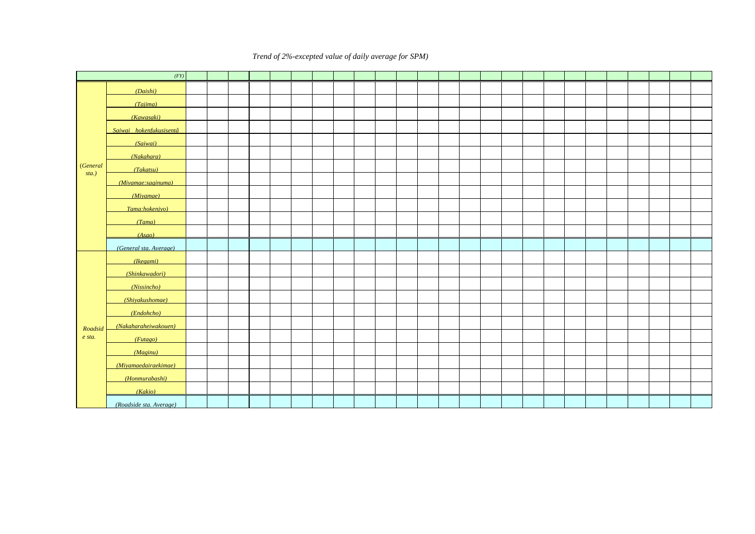**2** (*Trend of 2%-excepted value of daily average for SPM*)

|                 |                         |      |               | mg/m <sup>3</sup> |        |      |           |                  |      |      |                      |      |      |       |      |       |           |       |      |          |          |                  |             |          |             |             |
|-----------------|-------------------------|------|---------------|-------------------|--------|------|-----------|------------------|------|------|----------------------|------|------|-------|------|-------|-----------|-------|------|----------|----------|------------------|-------------|----------|-------------|-------------|
|                 | (FY)                    | 82   | 83            | 84                | 85     | 86   | 87        | 88               | 89   | 90   | 91                   | 92   | 93   | 94    | 95   | 96    | 97        | 98    | 99   | $\infty$ | $\alpha$ | $\alpha$         | $\infty$    | $\Omega$ | $\sigma$    | $\infty$    |
|                 | (Daishi)                | Q157 | 0.112         | 0178              | (0000) | 0146 | 0178      | 0183             | 0172 | 0176 | 0165                 | 0168 | Q137 | 0.114 | 0095 | 0102  | Q115      | 0121  | 0080 | 0093     | 0132     | Q110             | 0092        | 0068     | <b>Q078</b> | 0094        |
|                 | (Tajima)                |      | $(0169)$ 0109 | 0168              | Q107   | 0144 | 0165 0127 |                  | 0155 | Q171 | 0193                 | Q169 | 0142 | 0135  | 0120 | Q110  | 0116      | 0121  | 0079 | 0088     | 0103     | 0094             | 0081        | 0071     | Q074        | 0089        |
|                 | (Kawasaki)              | 0166 | 0.109         | 0159              | Q117   | 0143 | 0169      | 0198             | Q153 | 0180 | 0196                 | Q169 | 0133 | 0.140 | 0106 | 0109  | 0125      | 0.130 | 0084 | 0094     | 0104     | 0092             | 0092        | 0078     | 0081        | 0080        |
|                 | Saiwai hokenfukusisentâ | Q169 | 0.105         | Q173              | 0122   | Q148 | 0168      | 0210             | 0146 | 0158 | 0157                 | 0138 | 0145 | 0112  | 0121 | Q101  | Q113      | 0119  | 0084 | 0083     | 0090     | Q094             | <b>Q078</b> | Q071     |             |             |
|                 | (Saiwai)                |      |               |                   |        |      |           |                  |      |      |                      |      |      |       |      |       |           |       |      |          |          |                  |             |          | 0067        | 0081        |
|                 | (Nakahara)              | Q161 | 0.113         | Q <sub>161</sub>  | Q124   | Q133 | 0170      | 0142             | 0132 | 0159 | 0128                 | 0132 | Q134 | 0127  | Q127 | 0099  | 0105      | 0114  | Q077 | 0081     | 0085     | 00%              | Q076        | 0060     | 0060        | 0066        |
| <i>(General</i> | (Takatsu)               | 0156 | 0115          | 0149              | Q117   | 0144 | 0165      | Q197             | 0125 | Q154 | Q117                 | Q143 | 0128 | 0130  | Q139 | Q110  | 0115      | 0122  | 0083 | 0088     | 0093     | 0089             | Q074        | 0060     | 0064        | 0071        |
| sta.)           | (Miyamae:saginuma)      | 0135 | Q111          | 0136              | 0118   | 0125 | 0165      | 0218             | 0127 | 0163 | Q161                 | Q151 | 0128 | 0128  | 0121 | Q116  | 0128      | 0.130 | 0085 | 0086     | 0102     | 0103             | 00%         |          |             |             |
|                 | (Miyamae)               |      |               |                   |        |      |           |                  |      |      |                      |      |      |       |      |       |           |       |      |          |          |                  |             | 0065     | 0063        | <b>Q078</b> |
|                 | (Tama:hokenjyo)         | Q154 | 0113          | 0135              | 0122   | Q147 | 0170      | 0135             | Q127 | 0155 | Q164                 | Q165 |      |       |      |       |           |       |      |          |          |                  |             |          |             |             |
|                 | (Tama)                  |      |               |                   |        |      |           |                  |      |      |                      |      | Q141 | 0131  | Q147 | 0122  | 0125      | 0129  | 0085 | 0082     | 0115     | Q102             | 0090        | 0072     | <b>Q078</b> | 0081        |
|                 | (Asao)                  | Q1Q2 | 0084          | Q <sub>107</sub>  | 0097   | 0099 | 0128      | 0094             | 00%  | 0121 | 0122                 | Q119 | Q118 | 0112  | 0116 | 0.097 | 0105      | 0.109 | 0074 | 0082     | 0085     | 0084             | 0068        | 0058     | 0060        | 0066        |
|                 | (General sta. Average)  | 0150 | Q108          | Q152              | Q116   | 0137 | 0164      | Q <sub>167</sub> | 0137 |      | $0160$ $0156$ $0150$ |      | Q134 | 0125  | Q121 | Q107  | 0116      | 0122  | 0081 | 0086     | Q101     | 00%              | 0083        | 0067     | 0069        | <b>Q078</b> |
|                 | (Ikegami)               |      |               |                   |        |      |           |                  |      |      |                      |      |      |       | 0162 | Q144  | 0155      | 0.165 | 0120 | 0125     | Q169     | Q115             | Q094        | 0082     | 0087        | 0105        |
|                 | (Shinkawadori)          |      |               |                   |        |      |           |                  |      |      |                      |      |      |       |      |       |           |       | 00%  | 0109     | 0124     | Q <sub>107</sub> |             |          |             |             |
|                 | (Nissincho)             |      |               |                   |        |      |           |                  |      |      |                      |      |      |       |      |       |           |       |      |          |          |                  | 0090        | 0067     | 0081        | 0083        |
|                 | (Shiyakushomae)         |      |               |                   |        |      |           |                  |      |      |                      |      |      |       |      |       |           |       |      | 0101     | Q119     | 0103             | 0095        | Q074     | Q075        | <b>Q077</b> |
|                 | (Endohcho)              |      |               |                   |        |      |           |                  |      |      |                      |      |      |       |      |       |           |       |      | 0130     | 0126     | Q111             | 0103        | 0083     | Q079        | 0106        |
| Roadsid         | (Nakaharaheiwakouen)    |      |               |                   |        |      |           |                  |      |      |                      |      |      |       |      | 0125  | Q146      | 0.142 | 0085 | 0098     | 0095     | Q112             | 0091        | Q077     | 0000        | 0081        |
| e sta.          | (Futago)                |      |               |                   |        |      |           |                  |      |      |                      |      |      |       |      |       |           | 0.144 | 0106 | Q114     | 0135     | 0.120            | 0095        | 0080     | 0085        | 0090        |
|                 | (Maeinu)                |      |               |                   |        |      |           |                  |      |      |                      |      |      |       |      |       |           |       |      | Q111     |          |                  |             |          |             |             |
|                 | (Mivamaedairaekimae)    |      |               |                   |        |      |           |                  |      |      |                      |      |      |       |      |       |           |       |      |          | 0129     | 0.116            | 0099        | 0080     | 0083        | 00%         |
|                 | (Honmurabashi)          |      |               |                   |        |      |           |                  |      |      |                      |      |      |       |      |       | 0125      | 0125  | 0085 | 0093     | 0102     | 0095             | 0078        | 0068     | Q076        | 0064        |
|                 | (Kakio)                 |      |               |                   |        |      |           |                  |      |      |                      |      |      |       |      |       |           |       | 0103 | 0103     | 0102     | 0.107            | 0083        | 0072     | 0078        | 0082        |
|                 | (Roadside sta. Average) |      |               |                   |        |      |           |                  |      |      |                      |      |      |       | 0162 | 0135  | 0142 0144 |       | 0099 | Q109     | 0122     | Q110             | 0092        | 0076     | 0000        | 0087        |

 $\alpha$   $\alpha$   $\alpha$   $\alpha$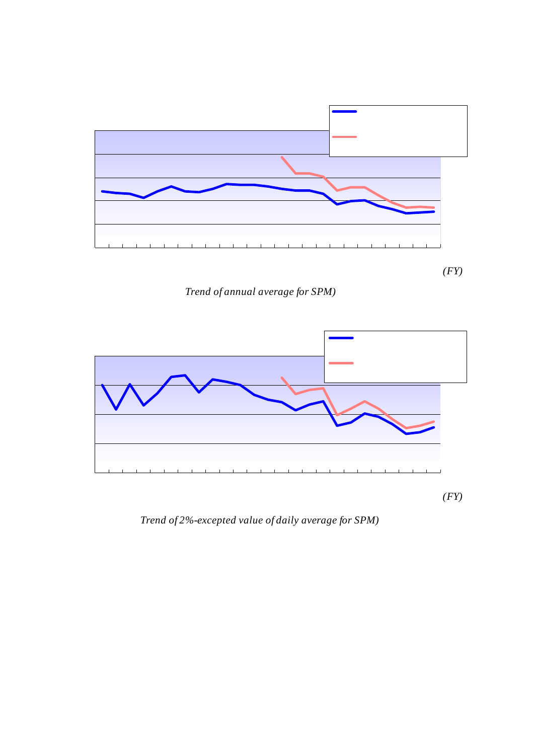

( *Trend of annual average for SPM)*

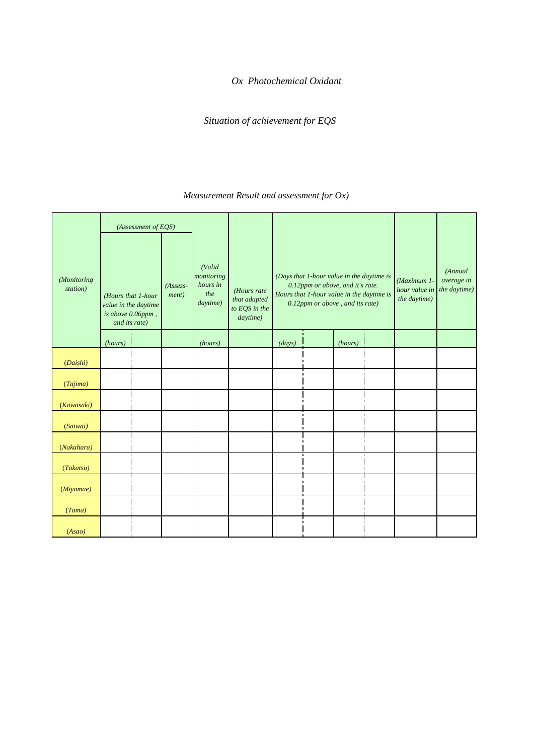# $Ox$  *Photochemical Oxidant*

Situation of achievement for EQS 006ppm

 $1$   $0x)$ ( *Measurement Result and assessment for Ox)*

| (Monitoring<br>station) | (Hours that 1-hour<br>value in the daytime<br>is above $0.06$ ppm,<br>and its rate) | (Assessment of EOS)<br>QOGppm | 1<br>$(Assess-$<br><i>ment</i> ) | (Valid<br>monitoring<br>hours in<br>the<br>daytime) | $\overline{2}$<br>(Hours rate<br>that adapted<br>to EQS in the<br>daytime) |                 | Q12ppm | (Days that 1-hour value in the daytime is<br>0.12ppm or above, and it's rate.<br>Hours that 1-hour value in the daytime is<br>0.12ppm or above, and its rate) |                | (Maximum 1-<br>hour value in<br>the daytime) | (Annual<br>average in<br>the daytime) |
|-------------------------|-------------------------------------------------------------------------------------|-------------------------------|----------------------------------|-----------------------------------------------------|----------------------------------------------------------------------------|-----------------|--------|---------------------------------------------------------------------------------------------------------------------------------------------------------------|----------------|----------------------------------------------|---------------------------------------|
|                         | (hours)                                                                             |                               | $\pmb{\times}$                   | (hours)                                             |                                                                            | (days)          |        | (hours)                                                                                                                                                       |                |                                              |                                       |
| (Daishi)                | 205                                                                                 | 38                            | $\times$                         | 5366                                                | 962                                                                        | 5               | 1.4    | 9                                                                                                                                                             | Q <sub>2</sub> | 0158                                         | 0024                                  |
| (Tajima)                | 185                                                                                 | 35                            | $\times$                         | 5298                                                | 965                                                                        | 5               | 1.4    | 11                                                                                                                                                            | Q <sub>2</sub> | 0.186                                        | Q026                                  |
| (Kawasaki)              | 231                                                                                 | 43                            | $\times$                         | 5371                                                | 95.7                                                                       | $\overline{7}$  | 1.9    | 13                                                                                                                                                            | Q2             | 0164                                         | Q025                                  |
| (Saiwai)                | 211                                                                                 | 40                            | $\times$                         | 5252                                                | 960                                                                        | 3               | Q8     | 4                                                                                                                                                             | Q <sub>1</sub> | 0148                                         | Q026                                  |
| (Nakahara)              | 304                                                                                 | 57                            | $\times$                         | 5313                                                | 94.3                                                                       | 6               | 1.7    | 13                                                                                                                                                            | Q <sub>2</sub> | 0194                                         | Q026                                  |
| (Takatsu)               | 404                                                                                 | 7.7                           | $\times$                         | 5269                                                | 923                                                                        | 10 <sup>1</sup> | 28     | 20                                                                                                                                                            | Q4             | 0200                                         | 0029                                  |
| (Miyamae)               | 442                                                                                 | 83                            | $\times$                         | 5333                                                | 91.7                                                                       | 11              | 30     | 27                                                                                                                                                            | Q <sub>5</sub> | Q187                                         | 0030                                  |
| (Tama)                  | 334                                                                                 | 63                            | $\times$                         | 5275                                                | 937                                                                        | 5               | 1.4    | 11                                                                                                                                                            | Q <sub>2</sub> | Q <sub>167</sub>                             | Q <sub>029</sub>                      |
| (Asao)                  | 248                                                                                 | 4.7                           | $\times$                         | 5236                                                | 953                                                                        | O               | O      | O                                                                                                                                                             | 0              | Q114                                         | Q026                                  |

# $(1)$   $(1)$   $(206$ ppm

 $\frac{1}{2}$  1 0.06ppm  $\mathsf{x}$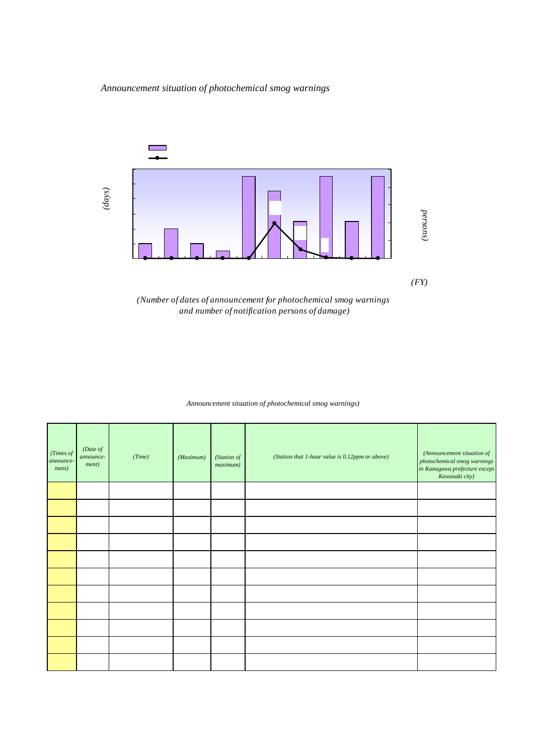$\mathbf 1$ 



*(Number of dates of announcement for photochemical smog warnings and number of notification persons of damage)*

 $\overline{1}$ 

 $2$ ( *Announcement situation of photochemical smog warnings)*

| (Times of<br>announce-<br><i>ment</i> ) | (Date of<br>announce-<br>ment) | (Time) |       | (Maximum)<br>ppm | (Station of<br>maximum) | Q12ppm<br>(Station that 1-hour value is 0.12ppm or above) | (Announcement situation of<br>photochemical smog warnings<br>in Kanagawa prefecture except<br>Kawasaki city) |
|-----------------------------------------|--------------------------------|--------|-------|------------------|-------------------------|-----------------------------------------------------------|--------------------------------------------------------------------------------------------------------------|
| $\mathbf{1}$                            | 6 <sub>1</sub>                 | 14 20  | 16 20 | Q133             |                         | 3                                                         |                                                                                                              |
| $\overline{2}$                          | 29<br>6                        | 13 20  | 17 20 | 0125             |                         | 3                                                         |                                                                                                              |
| 3                                       | 14<br>$\overline{7}$           | 12 20  | 19 30 | 0163             |                         | 6                                                         |                                                                                                              |
| $\overline{4}$                          | 15<br>$\overline{7}$           | 12 20  | 15 CO | Q152             |                         | 6                                                         |                                                                                                              |
| 5                                       | 26<br>$\overline{7}$           | 15 20  | 16 20 | 0121             |                         | 1                                                         |                                                                                                              |
| 6                                       | 29<br>$\overline{7}$           | 14 20  | 18 10 | 0146             |                         | 5                                                         |                                                                                                              |
| $\overline{7}$                          | $\overline{2}$<br>8            | 16 20  | 18 CO | 0133             |                         | 3                                                         |                                                                                                              |
| 8                                       | 8<br>5                         | 13 20  | 18 20 | Q187             |                         | 8                                                         |                                                                                                              |
| 9                                       | 8 6                            | 11 20  | 16 20 | 0.200            |                         | 8                                                         |                                                                                                              |
| 10                                      | 11<br>8                        | 15 20  | 16 20 | 0128             |                         | $\overline{2}$                                            |                                                                                                              |
| 11                                      | $5\phantom{.0}$<br>9           | 15 20  | 16 30 | Q137             |                         | 6                                                         |                                                                                                              |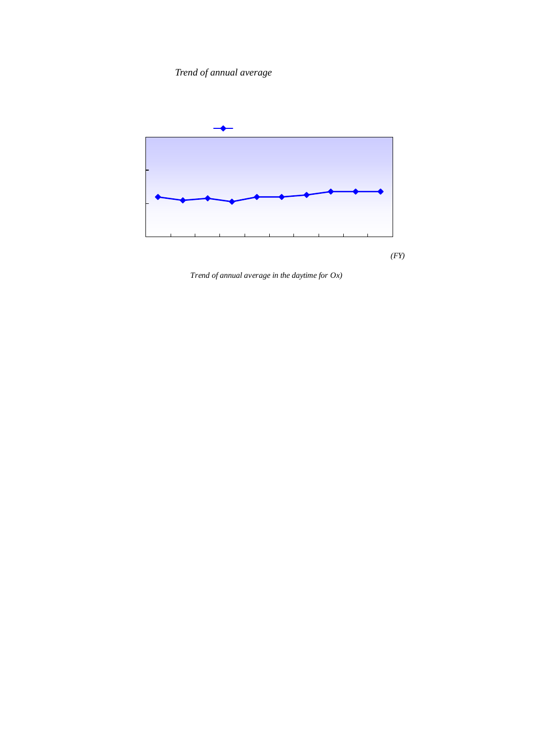Trend of annual average

0.027ppm 2004



( *Trend of annual average in the daytime for Ox)*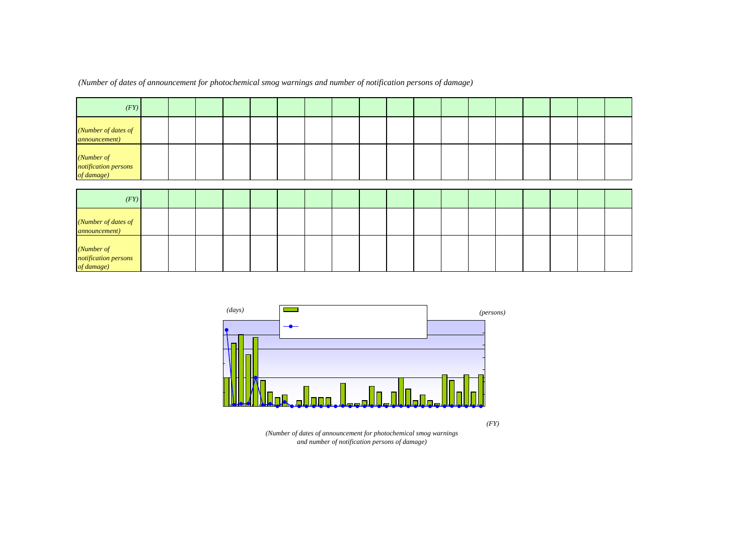| (FY)                                             | 71              | 72  | 73  | 74       | 75   | 76  | 77  | 78          | 79      | 80       | 81             | 82       | 83       | 84       | 85       | 86       | 87             | 88             |
|--------------------------------------------------|-----------------|-----|-----|----------|------|-----|-----|-------------|---------|----------|----------------|----------|----------|----------|----------|----------|----------------|----------------|
| (Number of dates of<br><i>announcement</i> )     | 10 <sup>°</sup> | 22  | 25  | 18       | 24   | 9   | 5   | 3           | 4       | O        | $\overline{2}$ | –        | 3        | 3        | 3        | 0        | 8              |                |
| (Number of<br>notification persons<br>of damage) | 12425           | 251 | 408 | 450      | 4662 | 206 | 396 | $\mathbf O$ | 698     | $\Omega$ | 4              | 4        | 0        | O        | ٠        | 0        | 50             | $\Omega$       |
| (FY)                                             | 89              | 90  | 91  | 92       | 93   | 94  | 95  | 96          | 97      | 98       | 99             | $\infty$ | $\alpha$ | $\Omega$ | $\alpha$ |          | O <sub>5</sub> |                |
| (Number of dates of<br><i>announcement</i> )     | 1               | 2   | ⇁   | 5        |      | 5   | 10  | 6           | 2       | 4        | $\overline{2}$ |          | 11       | 9        | 5        | O4<br>11 | 5              | $\infty$<br>11 |
| (Number of<br>notification persons<br>of damage) | $\mathsf{o}$    | O   | 22  | $\Omega$ | O    | Ω   | 46  | O           | $\circ$ | O        | $\Omega$       | $\Omega$ | $\Omega$ | 39       | 10       |          | O              | O              |

*(Number of dates of announcement for photochemical smog warnings and number of notification persons of damage)*





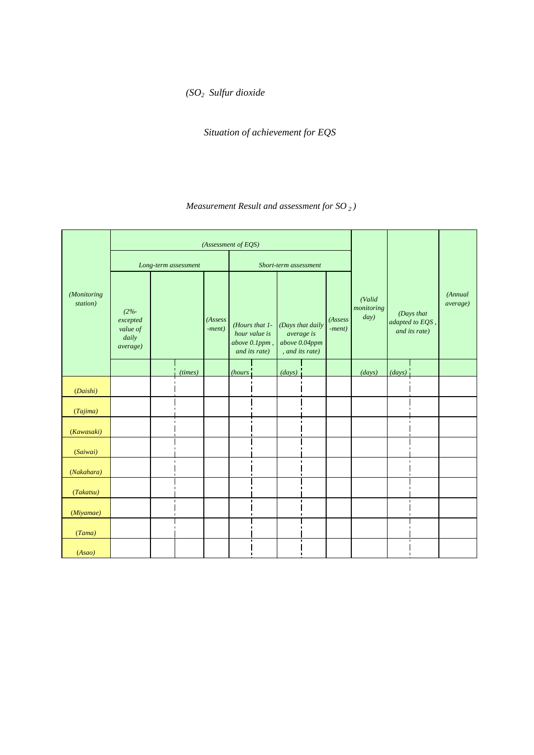2-4 二酸化硫黄 *(SO2 Sulfur dioxide*

Situation of achievement for EQS

# $SO<sub>2</sub>$ )

( *Measurement Result and assessment for SO <sup>2</sup> )*

|                         |                                                                |                |                      | (Assessment of EQS) |                    |                                                                   |                                                                |              |                     |                              |         |                                                |                             |
|-------------------------|----------------------------------------------------------------|----------------|----------------------|---------------------|--------------------|-------------------------------------------------------------------|----------------------------------------------------------------|--------------|---------------------|------------------------------|---------|------------------------------------------------|-----------------------------|
|                         |                                                                |                | Long-term assessment |                     |                    |                                                                   | Short-term assessment                                          |              |                     |                              |         |                                                |                             |
| (Monitoring<br>station) | $(2% - )$<br>excepted<br>value of<br>daily<br><i>average</i> ) | QO4ppm         |                      | (Assess<br>$-ment)$ | Q <sub>1</sub> ppm | (Hours that 1-<br>hour value is<br>above 0.1ppm,<br>and its rate) | QO4ppm<br>(Days that daily<br>above 0.04ppm<br>, and its rate) | average is   | (Assess<br>$-ment)$ | (Valid<br>monitoring<br>day) |         | (Days that<br>adapted to EQS,<br>and its rate) | (Annual<br><i>average</i> ) |
|                         |                                                                |                | (times)              | $\pmb{\times}$      | (hours             |                                                                   | (days)                                                         |              | $\times$            | (days)                       | (days)  |                                                | ppm                         |
| (Daishi)                | 0017                                                           |                | O                    |                     | O                  | O                                                                 | O                                                              | O            |                     | 365                          | 365 i   | 100                                            | 0007                        |
| (Tajima)                | QO14                                                           |                | 0                    |                     | O                  | O                                                                 | O                                                              | O            |                     | 365                          | 365     | 100                                            | 0007                        |
| (Kawasaki)              | QO14                                                           |                | O                    |                     | O                  | O                                                                 | O                                                              | O            |                     | 365                          | 365i    | 100                                            | 0007                        |
| (Saiwai)                | 0009                                                           |                | O                    |                     | O                  | O                                                                 | O                                                              | $\Omega$     |                     | 363                          | 363'    | 100                                            | 0005                        |
| (Nakahara)              | 0008                                                           |                | $\blacksquare$<br>O  |                     | O                  | O                                                                 | $\blacksquare$<br>0                                            | $\Omega$     |                     | 362                          | 3621    | 100                                            | 0004                        |
| (Takatsu)               | 0007                                                           |                | 0                    |                     | O                  | $\Omega$                                                          | O                                                              | $\mathsf{O}$ |                     | 363                          | $363 -$ | 100                                            | 0004                        |
| (Miyamae)               | 0004                                                           | $\blacksquare$ | O                    |                     | O                  | $\Omega$                                                          | O                                                              | $\Omega$     |                     | 363                          | 363     | 100                                            | 0001                        |
| (Tama)                  | 0008                                                           |                | O                    |                     | O                  | O                                                                 | O                                                              | $\Omega$     |                     | 361                          | 361     | 100                                            | 0004                        |
| (Asao)                  | 0006                                                           |                | O                    |                     | O                  | O                                                                 | O                                                              | $\Omega$     |                     | 362                          | 362 l   | 100                                            | 0003                        |



 $\mathsf{x}$  $1$  0.1 contract  $\sim$  0.1 contract  $\sim$  0.04ppm (1) CO4ppm doublet the determined on the D1ppm  $\Omega$ O4ppm $\Omega$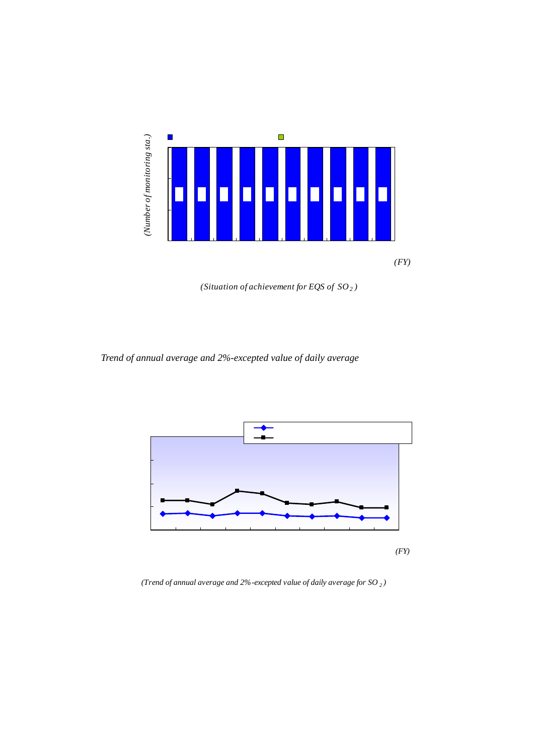

*(Situation of achievement for EQS of SO2 )*





*(Trend of annual average and 2%-excepted value of daily average for SO <sup>2</sup> )*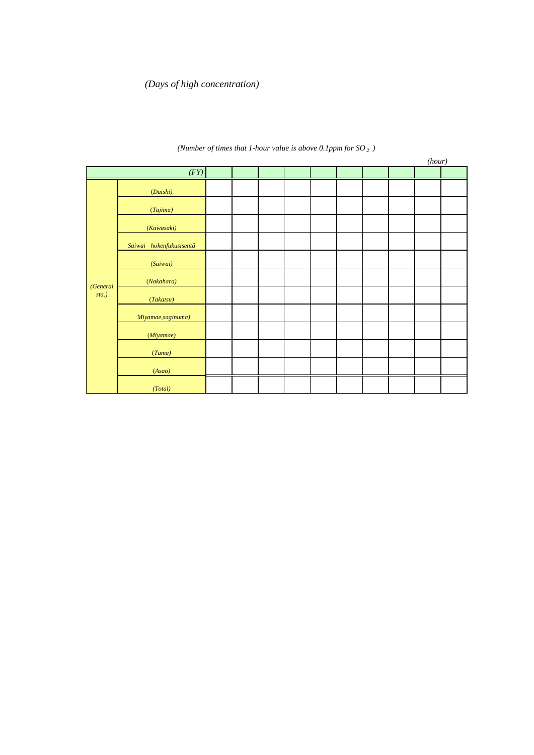# (3)高濃度日 *(Days of high concentration)*

# $2000$   $0.1$ ppm  $0.1$

2006 **2006 0.1ppm** 

# $2$  1  $\alpha$ 1ppm

*(Number of times that 1-hour value is above 0.1ppm for SO 2 )*

|          |                         |              |          |              |                |                |                |              |                | (hour)   |              |
|----------|-------------------------|--------------|----------|--------------|----------------|----------------|----------------|--------------|----------------|----------|--------------|
|          | (FY)                    | 97           | 98       | 99           | $\infty$       | $\alpha$       | $\infty$       | $\infty$     | O <sub>4</sub> | $\sigma$ | $\infty$     |
|          | (Daishi)                | O            | $\Omega$ | $\mathsf{O}$ | 2              | 4              | 2              | $\Omega$     | $\overline{2}$ | O        | 0            |
|          | (Tajima)                | O            | O        | O            | 4              | 7              | $\overline{2}$ | O            | $\overline{2}$ | 0        | 0            |
|          | (Kawasaki)              | O            | $\Omega$ | O            | 4              | 5              | $\overline{2}$ | $\Omega$     | 1              | $\Omega$ | 0            |
|          | Saiwai hokenfukusisentâ | $\mathsf{O}$ | 1        | $\mathsf{O}$ | 5              | 4              | $\overline{2}$ | $\Omega$     | 1              |          |              |
|          | (Saiwai)                |              |          |              |                |                |                |              |                | O        | 0            |
| (General | (Nakahara)              | O            | $\Omega$ | $\mathsf{O}$ | $\overline{7}$ | $\overline{7}$ | $\mathsf{O}$   | $\Omega$     | $\Omega$       | O        | 0            |
| $sta.$ ) | (Takatsu)               | O            | $\Omega$ | $\mathsf{O}$ | 8              | 3              | $\mathsf{O}$   | $\mathbf{1}$ | $\Omega$       | O        | 0            |
|          | Miyamae, saginuma)      | O            | O        | O            | 6              | 4              | 0              | $\Omega$     |                |          |              |
|          | (Miyamae)               |              |          |              |                |                |                |              | $\Omega$       | $\Omega$ | 0            |
|          | (Tama)                  | O            | $\Omega$ | O            | 3              | 1              | 0              | $\Omega$     | O              | O        | 0            |
|          | (Asao)                  | O            | $\Omega$ | O            | $\overline{4}$ | 1              | O              | $\Omega$     | O              | 1        | O            |
|          | (Total)                 | O            | 1        | $\mathsf{O}$ | 43             | 36             | 8              | 1            | 6              | 1        | $\mathsf{O}$ |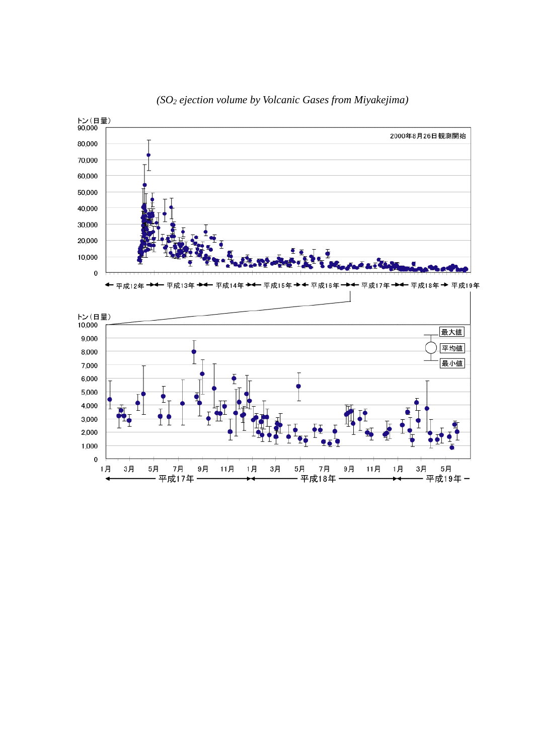



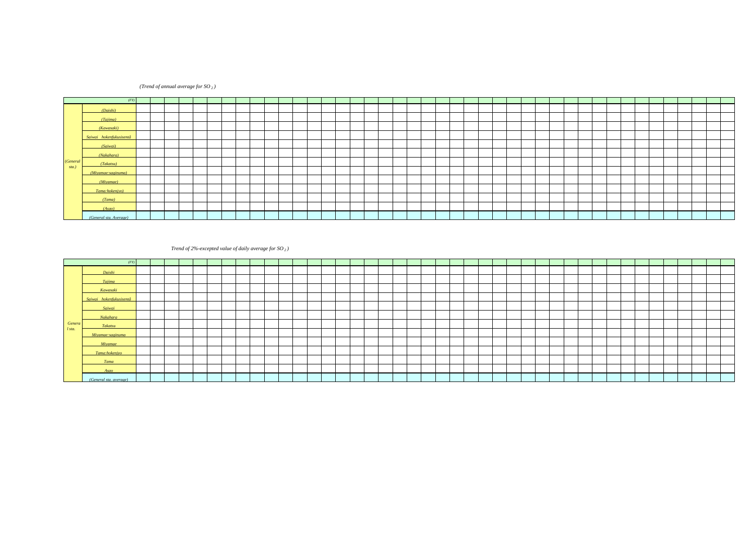### *(Trend of annual average for SO <sup>2</sup> )*

|          |                                  |                                               | mm    |                                               |  |  |  |  |      |  |   |                                                                                                                                                                                         |    |  |  |                 |       |   |  |    |    |  |       |   |  |          |                                                                                                                                                                                                                               |      |
|----------|----------------------------------|-----------------------------------------------|-------|-----------------------------------------------|--|--|--|--|------|--|---|-----------------------------------------------------------------------------------------------------------------------------------------------------------------------------------------|----|--|--|-----------------|-------|---|--|----|----|--|-------|---|--|----------|-------------------------------------------------------------------------------------------------------------------------------------------------------------------------------------------------------------------------------|------|
|          |                                  | $(FY)$ $\leftarrow$ $\leftarrow$ $\leftarrow$ | $-67$ |                                               |  |  |  |  |      |  | ഔ |                                                                                                                                                                                         | 84 |  |  | 99 <sup>°</sup> | $-90$ | တ |  | 95 | 96 |  | $-99$ | m |  | $\Omega$ |                                                                                                                                                                                                                               |      |
|          | (Daishi)                         |                                               |       |                                               |  |  |  |  |      |  |   |                                                                                                                                                                                         |    |  |  |                 |       |   |  |    |    |  |       |   |  |          | 0110   0110   010   0070   0062   0062   009   009   009   002   002   009   0010   0010   0010   0010   0010   0010   0010   0010   0010   0010   000   000   000   000   000   000   000   000   000   000   000   000   00 |      |
|          | (Taiima)                         |                                               |       |                                               |  |  |  |  |      |  |   |                                                                                                                                                                                         |    |  |  |                 |       |   |  |    |    |  |       |   |  |          |                                                                                                                                                                                                                               |      |
|          | (Kawasaki)                       |                                               |       | 0.080   0.080   0.080   0.070   0.061   0.051 |  |  |  |  |      |  |   |                                                                                                                                                                                         |    |  |  |                 |       |   |  |    |    |  |       |   |  |          |                                                                                                                                                                                                                               |      |
|          | Saiwai hokenfukusisentâ          |                                               |       |                                               |  |  |  |  |      |  |   | aas  aas  aas  aas  aas  aas  aas  aas  aas  aas  aas  aas  aas  aas  aas  aas  aas  aas  aas  aas  aas  aas  aas  aas  aas  aas  aas  aas  aas  aas  aas  aas  aas  aas  aas  aas  aas |    |  |  |                 |       |   |  |    |    |  |       |   |  |          |                                                                                                                                                                                                                               |      |
|          | (Saiwai)                         |                                               |       |                                               |  |  |  |  |      |  |   |                                                                                                                                                                                         |    |  |  |                 |       |   |  |    |    |  |       |   |  |          | 0006                                                                                                                                                                                                                          | 0005 |
|          | (Nakahara)                       | 0050 0040 0050 0050 0031                      |       |                                               |  |  |  |  |      |  |   |                                                                                                                                                                                         |    |  |  |                 |       |   |  |    |    |  |       |   |  |          |                                                                                                                                                                                                                               |      |
| (Genera) | (Takatsu)                        |                                               |       |                                               |  |  |  |  |      |  |   |                                                                                                                                                                                         |    |  |  |                 |       |   |  |    |    |  |       |   |  |          |                                                                                                                                                                                                                               |      |
| $sta$ .  | (Miyamae:saginuma                |                                               |       |                                               |  |  |  |  |      |  |   |                                                                                                                                                                                         |    |  |  |                 |       |   |  |    |    |  |       |   |  |          |                                                                                                                                                                                                                               |      |
|          | (Miyamae)                        |                                               |       |                                               |  |  |  |  |      |  |   |                                                                                                                                                                                         |    |  |  |                 |       |   |  |    |    |  |       |   |  |          | 0005 0002 0001                                                                                                                                                                                                                |      |
|          | (Tama:hokenivo)                  |                                               |       |                                               |  |  |  |  |      |  |   | 0016  0024  0018  0018  0015  0017  0015  0012  0014  0013  0013  0012  0008  0007  0007  0007  0007  0008  0008  0007  0006                                                            |    |  |  |                 |       |   |  |    |    |  |       |   |  |          |                                                                                                                                                                                                                               |      |
|          | (Tama)                           |                                               |       |                                               |  |  |  |  |      |  |   |                                                                                                                                                                                         |    |  |  |                 |       |   |  |    |    |  |       |   |  |          | 0.005   0.004   0.005   0.006   0.005   0.006   0.006   0.005   0.006   0.006   0.006   0.004   0.004                                                                                                                         |      |
|          | (A <sub>5</sub> a <sub>0</sub> ) |                                               |       |                                               |  |  |  |  | 0011 |  |   | 0010 0010 0008 0007                                                                                                                                                                     |    |  |  |                 |       |   |  |    |    |  |       |   |  |          | 0007   0006   0006   0006   0006   0006   0006   0006   0006   0006   0006   0006   0006   0006   0006   0004   0009   0008   0003   0003                                                                                     |      |
|          | (General sta, Average)           |                                               |       |                                               |  |  |  |  |      |  |   |                                                                                                                                                                                         |    |  |  |                 |       |   |  |    |    |  |       |   |  |          | acco  acco  acco  acco  acco  acco  acco  acco  acco  acco  acco  acco  acco  acco  acco  acco  acco  acco  acco  acco  acco  acco  acco  acco  acco  acco  acco  acco  acco  acco  acco  acco  acco  acco  acco  acco  acco  |      |

### 1965 1966

### 2 **2** *(Trend of 2%-excepted value of daily average for SO <sub>2</sub> )*

|          |                         |    |    | pom |  |  |      |  |  |  |  |                                                                                                                                                                 |  |  |                 |  |  |  |  |  |  |                                                                                                                                                                                                                               |                                                                                                                                                                                                                               |      |
|----------|-------------------------|----|----|-----|--|--|------|--|--|--|--|-----------------------------------------------------------------------------------------------------------------------------------------------------------------|--|--|-----------------|--|--|--|--|--|--|-------------------------------------------------------------------------------------------------------------------------------------------------------------------------------------------------------------------------------|-------------------------------------------------------------------------------------------------------------------------------------------------------------------------------------------------------------------------------|------|
|          | (FY)                    | 65 | 66 | 67  |  |  |      |  |  |  |  |                                                                                                                                                                 |  |  | 99 <sup>°</sup> |  |  |  |  |  |  |                                                                                                                                                                                                                               |                                                                                                                                                                                                                               |      |
|          | Daishi                  |    |    |     |  |  |      |  |  |  |  |                                                                                                                                                                 |  |  |                 |  |  |  |  |  |  |                                                                                                                                                                                                                               | 0006   0006   0006   0008   0008   0008   0008   0008   0008   0008   0008   0008   0008   0008   0008   0008   0017   0018   0017   0018   0017   0018   0017   0019   0008   0017   0018   0017   0018   0017   0018   0017 |      |
|          | <b>Taiima</b>           |    |    |     |  |  |      |  |  |  |  |                                                                                                                                                                 |  |  |                 |  |  |  |  |  |  |                                                                                                                                                                                                                               |                                                                                                                                                                                                                               |      |
|          | Kawasaki                |    |    |     |  |  |      |  |  |  |  |                                                                                                                                                                 |  |  |                 |  |  |  |  |  |  |                                                                                                                                                                                                                               | aas  aas  aas  aas  aas  aas  aas  aas  aas  aas  aas  aas  aas  aas  aas  aas  aas  aas  aas  aas  aas  aas  aas  aas  aas  aas  aas  aas  aas  aas  aas  aas  aas  aas  aas  aas  aas  aas  aas  aas  aas  aas  aas  a      |      |
|          | Saiwai hokenfukusisentâ |    |    |     |  |  | QQ61 |  |  |  |  |                                                                                                                                                                 |  |  |                 |  |  |  |  |  |  | 0023   003   003   003   003   003   002   002   002   002   002   002   002   003   002   002   002   002   003   003   009   003   001   001   001   001   001   001   001   001   001   001   001   001   001   001   001  |                                                                                                                                                                                                                               |      |
|          | Saiwai                  |    |    |     |  |  |      |  |  |  |  |                                                                                                                                                                 |  |  |                 |  |  |  |  |  |  |                                                                                                                                                                                                                               | 0011                                                                                                                                                                                                                          | 0009 |
|          | Nakahara                |    |    |     |  |  |      |  |  |  |  |                                                                                                                                                                 |  |  |                 |  |  |  |  |  |  |                                                                                                                                                                                                                               |                                                                                                                                                                                                                               |      |
| Genera   | Takatsu                 |    |    |     |  |  |      |  |  |  |  | 0038 0034 0032 0033 0033 0024 0026 0024 0025 0025 0026 0020 0021 0018 0019 0021 0019 0020 0021 0020 0018 0012 0018 0012 0014 0014 0011 0011 0010 0017 0015 0011 |  |  |                 |  |  |  |  |  |  |                                                                                                                                                                                                                               | 0010 0011 0007 0007                                                                                                                                                                                                           |      |
| $l$ sta. | Miyamae:saginuma        |    |    |     |  |  |      |  |  |  |  |                                                                                                                                                                 |  |  |                 |  |  |  |  |  |  | 0027   0020   0019   0019   0017   0016   0017   0015   0017   0018   0018   0020   0019   0013   0012   0012   0012   0010   0011   0009   0015   0014   0010   0010   0010   0010   0010   0011   0027   0010   0011   0027 |                                                                                                                                                                                                                               |      |
|          | <b>Miyamae</b>          |    |    |     |  |  |      |  |  |  |  |                                                                                                                                                                 |  |  |                 |  |  |  |  |  |  |                                                                                                                                                                                                                               | $0010$ $0004$ $0004$                                                                                                                                                                                                          |      |
|          | Tama:hokenivo           |    |    |     |  |  | 0032 |  |  |  |  | 0029   0025   0026   0023   0023   0025   0025   0022   0016   0017   0014   0014   0016   0014   0016   0018   0016   0013                                     |  |  |                 |  |  |  |  |  |  |                                                                                                                                                                                                                               |                                                                                                                                                                                                                               |      |
|          | <b>Tama</b>             |    |    |     |  |  |      |  |  |  |  |                                                                                                                                                                 |  |  |                 |  |  |  |  |  |  |                                                                                                                                                                                                                               | acce   acce   acio   acio   acce   acce   acce   acio   acis   acce   acce   acce   acce   acce                                                                                                                               |      |
|          | Asaa                    |    |    |     |  |  |      |  |  |  |  |                                                                                                                                                                 |  |  |                 |  |  |  |  |  |  |                                                                                                                                                                                                                               | 0020   0030   0019   0014   0014   0012   0012   0013   0013   0014   0014   0014   0011   0011   0009   0011   0009   0009   0003   0013   0013   0008   0010   0007   0006   0010   0009   0010   0010   0009   0014   0011 |      |
|          | (General sta, average)  |    |    |     |  |  | 0061 |  |  |  |  |                                                                                                                                                                 |  |  |                 |  |  |  |  |  |  |                                                                                                                                                                                                                               | 0045   0041   0036   0033   0030   0026   0026   0023   0020   0022   0018   0019   0021   0019   0020   0021   0020   003   0013   0014   0013   0013   0011   0017   0011   0011   0011   0011   0011   0012   0010   0010  |      |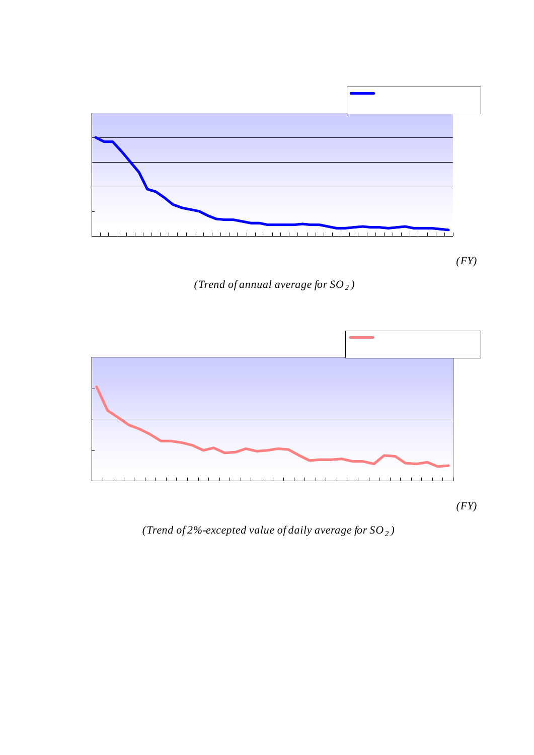

*(Trend of annual average for*  $SO<sub>2</sub>$ *)* 

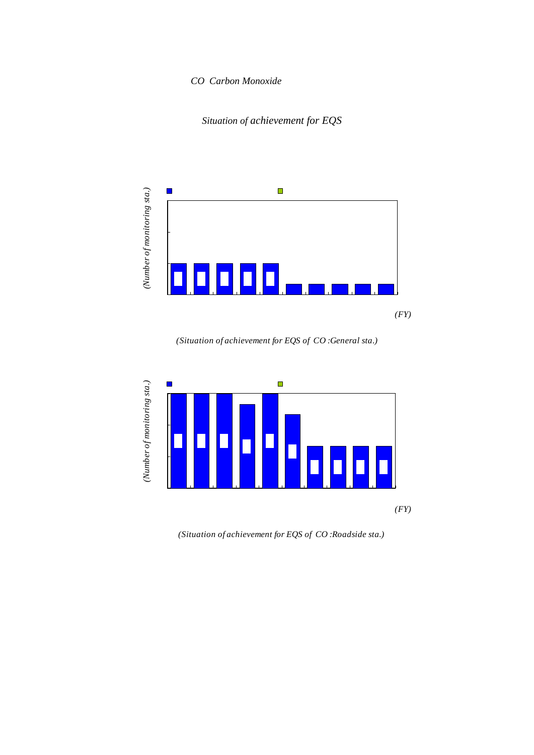# $CO$  *Carbon Monoxide*





*(Situation of achievement for EQS of CO :General sta.)*



*(Situation of achievement for EQS of CO :Roadside sta.)*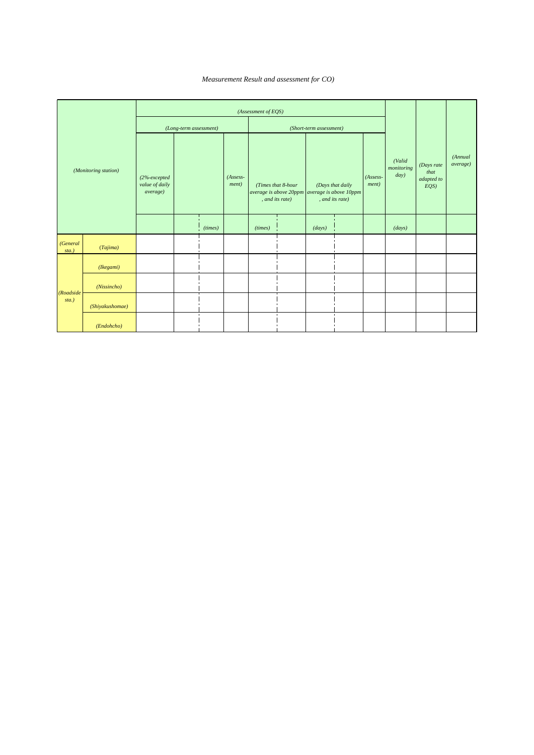$1$   $CO)$ ( *Measurement Result and assessment for CO)*

|                       |                      |                                            |                        |              |                       | (Assessment of EQS)      |                    |                                                                           |                  |                       |                              |                                         |                     |
|-----------------------|----------------------|--------------------------------------------|------------------------|--------------|-----------------------|--------------------------|--------------------|---------------------------------------------------------------------------|------------------|-----------------------|------------------------------|-----------------------------------------|---------------------|
|                       |                      |                                            | (Long-term assessment) |              |                       |                          |                    | (Short-term assessment)                                                   |                  |                       |                              |                                         |                     |
|                       | (Monitoring station) | (2%-excepted<br>value of daily<br>average) | 10ppm                  |              | $(Assess-$<br>ment)   | 20ppm<br>, and its rate) | (Times that 8-hour | 10ppm<br>average is above 20ppm average is above 10ppm<br>, and its rate) | (Days that daily | $(Assess-$<br>ment)   | (Valid<br>monitoring<br>day) | (Days rate<br>that<br>adapted to<br>EQS | (Annual<br>average) |
|                       |                      |                                            |                        | (times)      | $\boldsymbol{\times}$ | (times)                  |                    | (days)                                                                    |                  | $\boldsymbol{\times}$ | (days)                       |                                         |                     |
| (General<br>$sta.$ )  | (Tajima)             | Q9                                         |                        | O            |                       | $\mathsf{o}$             | $\mathsf{o}$       | $\mathsf{o}$                                                              | O                |                       | 364                          | 100                                     | Q <sub>4</sub>      |
|                       | (Ikegami)            | 1.3                                        |                        | 0            |                       | $\mathsf{o}$             | $\mathbf 0$        | $\mathsf{o}$                                                              | $\mathsf{o}$     |                       | 353                          | 100                                     | Q7                  |
|                       | (Nissincho)          | 1.0                                        |                        | $\mathsf{o}$ |                       | $\mathsf{o}$             | $\mathbf 0$        | $\mathsf{o}$                                                              | O                |                       | 364                          | 100                                     | Q5                  |
| (Roadside<br>$sta.$ ) | (Shiyakushomae)      | 1.2                                        |                        | 0            |                       | $\mathsf{o}$             | $\mathsf{o}$       | $\mathsf{o}$                                                              | $\mathsf{o}$     |                       | 361                          | 100                                     | Q7                  |
|                       | (Endohcho)           | 1.3                                        |                        | 0            |                       | $\mathsf{o}$             | $\mathbf 0$        | $\mathsf{o}$                                                              | O                |                       | 363                          | 100                                     | Q8                  |

 $2 \t 10 \t 10 \t 2$ 

10ppm  $\mathsf{x}$ a 20 10  $\sim$  10  $120$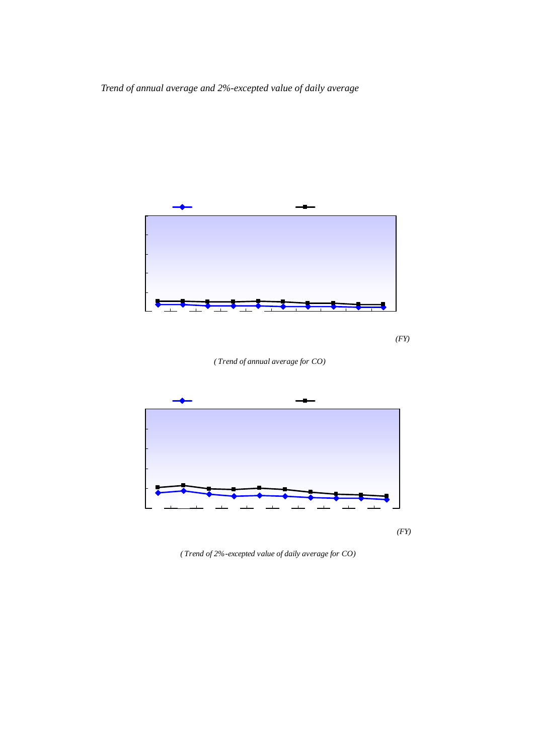*Trend of annual average and 2%-excepted value of daily average*







*( Trend of 2%-excepted value of daily average for CO)*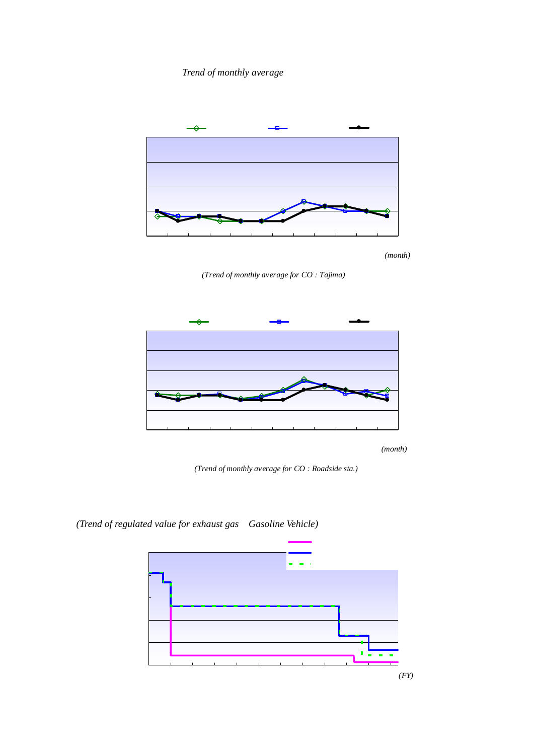



 $10$ ppm  $8$ 

*(Trend of monthly average for CO : Tajima)*



*(Trend of monthly average for CO : Roadside sta.)*

*(Trend of regulated value for exhaust gas Gasoline Vehicle)* 



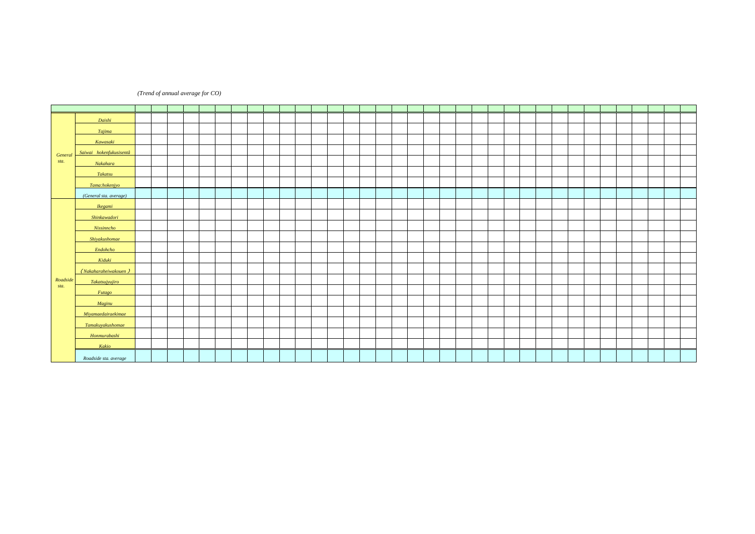### *(Trend of annual average for CO)*

|                       |                         |      |      | ppm  |       |     |       |      |       |       |                |     |     |                |     |     |           |     |     |     |                |       |                |            |       |     |     |     |                  |                  |                |                  |                |                |                |                |
|-----------------------|-------------------------|------|------|------|-------|-----|-------|------|-------|-------|----------------|-----|-----|----------------|-----|-----|-----------|-----|-----|-----|----------------|-------|----------------|------------|-------|-----|-----|-----|------------------|------------------|----------------|------------------|----------------|----------------|----------------|----------------|
|                       |                         | 72   | 73   | 74   | 75    | 76  | 77    | 78   | 79    | 80    | 81             | 82  | 83  | 84             | 85  | 86  | 87        | 88  | 89  | 90  | 91             | 92    | 93             | 94         | 95    | 96  | 97  | 98  | 99               | $\infty$         | $\alpha$       | $\infty$         | $\infty$       | O4             | $\sigma$       | $\infty$       |
|                       | Daishi                  | 1.8  | 1.6  | (25) | 1.8   | 23  | 1.3   | 1.7  | 1.2   | 1.4   | 1.3            |     |     |                |     |     |           |     |     |     |                |       |                |            |       |     |     |     |                  |                  |                |                  |                |                |                |                |
|                       | Tajima                  | 26   | (21) | 26   | 06    | 1.4 | (1.5) | 1.5  | 1.6   | 1.0   | 08             | 08  | 08  | 08             | Q8  | 08  | <b>Q8</b> | Q9  | Q9  | 08  | 08             | Q7    | Q7             | Q7         | Q7    | 06  | Q7  | Q7  | 06               | 06               | <b>Q6</b>      | Q <sub>5</sub>   | Q5             | 05             | Q <sub>4</sub> | Q <sub>4</sub> |
|                       | Kawasaki                | 27   | 22   | 1.9  | 1.7   | 1.2 | 1.5   | 1.5  | 1.7   | 1.3   | 1.2            | Ω9  | 1.1 | 1.1            | 1.1 | 1.0 | 1.1       | 1.1 | 1.1 | 08  | Q <sub>9</sub> | 08    | 08             | $\Omega$ 8 | 08    | 08  | 08  | 08  | <b>Q6</b>        | Q6               | <b>Q6</b>      |                  |                |                |                |                |
|                       | Saiwai hokenfukusisentâ | 23   | 1.9  | 1.4  | 1.6   | 1.5 | 1.3   | 1.9  | 1.0   | 1.5   | 1.4            |     |     |                |     |     |           |     |     |     |                |       |                |            |       |     |     |     |                  |                  |                |                  |                |                |                |                |
| <b>Genera</b><br>sta. | <b>Nakahara</b>         | (22) | 20   | 27   | 28    | 1.9 | 1.0   | 20   | (1.4) |       |                |     |     |                |     |     |           |     |     |     |                |       |                |            |       |     |     |     |                  |                  |                |                  |                |                |                |                |
|                       | Takatsu                 | (28) | 21   | 21   | (27)  | 24  | 1.8   | 24   | 1.8   | 1.9   | 1.6            | 1.1 | Q9  | Q9             | 09  | 08  | 1.0       | Q9  | 80  | 08  | 08             | Q7    | Q <sub>7</sub> | Q7         | Q7    | Q6  | Q6  | 06  | Q <sub>5</sub>   | Q <sub>5</sub>   | Q <sub>5</sub> |                  |                |                |                |                |
|                       | Tama:hokenjyo           | (25) | 21   | 1.9  | 1.9   | 26  | 21    | 1.9  | 1.7   | 1.7   | 1.0            |     |     |                |     |     |           |     |     |     |                |       |                |            |       |     |     |     |                  |                  |                |                  |                |                |                |                |
|                       | (General sta. average)  | 24   | 20   | 21   | 1.7   | 1.9 | 1.5   | 1.8  | 1.5   | 1.5   | 1.2            | Q9  | Q9  | Q <sub>9</sub> | 09  | Q9  | 1.0       | 1.0 | Q9  | 08  | Q8             | $Q$ 7 | Q7             | <b>Q7</b>  | $Q$ 7 | Q7  | Q7  | Q7  | Q6               | Q6               | Q6             | Q <sub>5</sub>   | Q <sub>5</sub> | Q <sub>5</sub> | Q <sub>4</sub> | Q <sub>4</sub> |
|                       | <b>Ikegami</b>          |      |      |      |       |     |       |      |       |       | 1.4            | 1.4 | 1.5 | 1.4            | 1.4 | 1.6 | 1.5       | 1.5 | 1.4 | 1.4 | 1.3            | 1.3   | 1.3            | 1.3        | 1.3   | 1.2 | 1.2 | 1.2 | 1.0              | 1.0              | Q <sub>9</sub> | Q9               | 08             | Q8             | Q7             | Q7             |
|                       | Shinkawadori            |      |      | (33) | 29    | 28  | 32    | (35) | 28    | 1.8   | 1.3            | 22  | 1.7 | 1.5            | 1.5 | 1.5 | 1.8       | 1.7 | 1.6 | 1.4 | 1.4            | 1.3   | 1.2            | 1.2        | 1.1   | 1.1 | Q9  | 1.0 | 1.0              | Q9               | 1.0            | Q9               |                |                |                |                |
|                       | <b>Nissinncho</b>       |      |      |      |       |     |       |      |       |       |                |     |     |                |     |     |           |     |     |     |                |       |                |            |       |     |     |     |                  |                  |                |                  | Q7             | Q6             | <b>Q6</b>      | Q5             |
|                       | Shivakushomae           |      | 28   | 26   | 30    | 31  | 27    | 27   | 23    | 23    | 26             | 1.5 | 1.2 | 1.2            | 1.2 | 1.1 | 1.1       | 1.1 | 1.1 | 1.1 | 1.1            | 1.0   | Q9             | 1.0        | 08    | Q9  | Q9  | Q9  | Q7               |                  | Q <sub>9</sub> | Q9               | 08             | Q7             | Q7             | Q7             |
|                       | Endohcho                |      | (81) | 7.4  | 86    | 7.2 | 65    | (57) | (51)  | (1.9) | 20             | 22  | 20  | 1.9            | 20  | 1.7 | 20        | 22  | 1.4 | 1.3 | 1.3            | 1.2   | 1.2            | 1.0        | 1.1   | 1.0 | 1.0 | 1.0 | Q9               | 1.1              | 1.1            | 1.1              | 1.0            | Q9             | Q9             | $\Omega$       |
|                       | Kiduki                  |      | (65) | (69) | (4.2) | 40  | 37    | 64   | 55    | (31)  | (23)           | 20  | 1.3 | 1.2            | 1.2 | 1.1 | 1.2       | 1.1 | 1.1 | 1.1 | 1.1            |       |                |            |       |     |     |     |                  |                  |                |                  |                |                |                |                |
|                       | (Nakaharaheiwakouen     |      |      |      |       |     |       |      |       |       |                |     |     |                |     |     |           |     |     |     |                | (1.3) | 1.0            | 1.0        | 1.0   | Q7  | Q7  | 08  | Q7               | Q7               | Q7             |                  |                |                |                |                |
| Roadside              | <b>Takatsuivuiiro</b>   |      |      |      | 52    | 4.7 | (39)  | 39   | 44    | 27    | 1.7            | 1.4 | 1.4 | 1.3            |     |     |           |     |     |     |                |       |                |            |       |     |     |     |                  |                  |                |                  |                |                |                |                |
| sta.                  | <b>Futago</b>           |      |      |      |       |     |       |      |       |       |                |     |     |                |     | 1.5 | 1.6       | 1.5 | 1.4 | 1.3 | 1.5            | 1.4   | 1.4            | 1.3        | 1.2   | 1.3 | 1.3 | 1.4 | 1.3              | 1.3              | 1.4            | 1.4              |                |                |                |                |
|                       | Maginu                  |      |      |      |       |     |       |      | 1.5   | 1.3   | 1.3            | 1.4 | 1.4 | 1.2            | 1.4 | 1.4 | 1.4       | 1.4 | 1.3 | 1.4 | 1.3            | 1.3   | 1.2            | 1.2        | 1.2   | 1.1 | 1.0 | 1.0 | Q <sub>9</sub>   | Q <sub>9</sub>   |                |                  |                |                |                |                |
|                       | Mivamaedairaekimae      |      |      |      |       |     |       |      |       |       |                |     |     |                |     |     |           |     |     |     |                |       |                |            |       |     |     |     |                  |                  | 1.3            | 1.1              |                |                |                |                |
|                       | Tamakuvakushomae        |      |      |      |       |     |       | (31) | 27    | 24    | 22             | 22  | 21  | 1.8            | 21  | 21  | 21        | 22  | 22  | 1.7 | 1.7            | (1.2) |                |            |       |     |     |     |                  |                  |                |                  |                |                |                |                |
|                       | Honmurabashi            |      |      |      |       |     |       |      |       |       |                |     |     |                |     |     |           |     |     |     |                |       | (1.6)          | 1.3        | 1.4   | 1.3 | 1.3 | 1.1 | 1.0              | Q9               | 1.0            | 08               |                |                |                |                |
|                       | Kakio                   |      |      |      |       |     |       |      |       |       | Q <sub>9</sub> | 08  | 1.0 | 1.0            | Q9  | 1.0 | 1.1       | 1.1 | 1.0 | 1.1 | 1.5            | 1.5   | 1.3            | 1.4        | 1.4   | 1.4 | 1.3 | 1.4 | 1.2              | 1.2              | 1.2            |                  |                |                |                |                |
|                       | Roadside sta. average   |      | 28   | 50   | 49    | 44  | 40    | 43   | 32    | 21    | 1.7            | 1.7 | 1.5 | 1.4            | 1.5 | 1.4 | 1.5       | 1.5 | 1.4 | 1.3 | 1.4            | 1.3   | 1.2            | 1.2        | 1.2   | 1.1 | 1.1 | 1.1 | 1.0 <sub>2</sub> | 1.0 <sub>1</sub> | 1.1            | 1.0 <sub>1</sub> | $\Omega$ 8     | $\Omega$       | Q <sub>7</sub> | Q7             |

1991

 $\alpha$   $\alpha$   $\alpha$   $\alpha$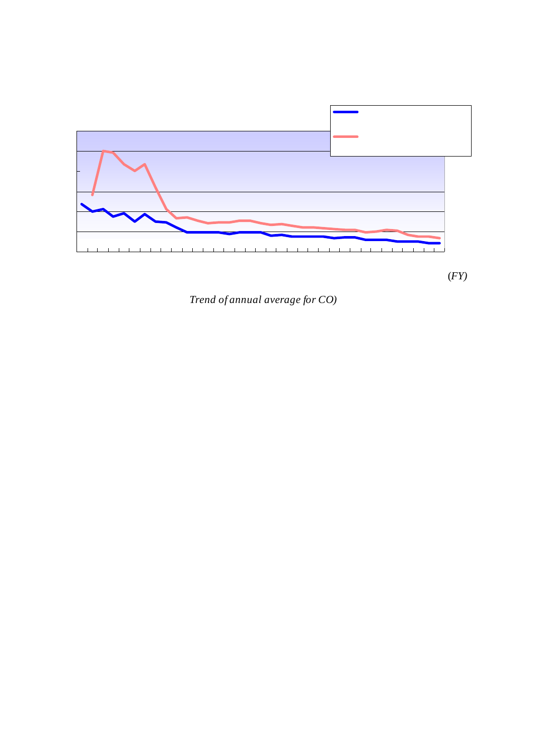

(*Trend of annual average for CO)*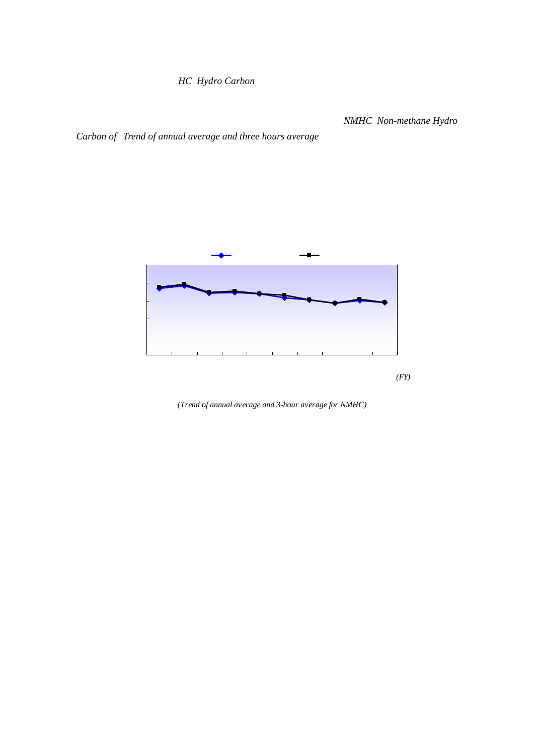# $HC$  *Hydro Carbon*

 $3$  *NMHC Non-methane Hydro* 

*Carbon of Trend of annual average and three hours average*

 $2006$ 

 $2006$   $0.29$ ppmC



0.24 0.34ppmC



*(Trend of annual average and 3-hour average for NMHC)*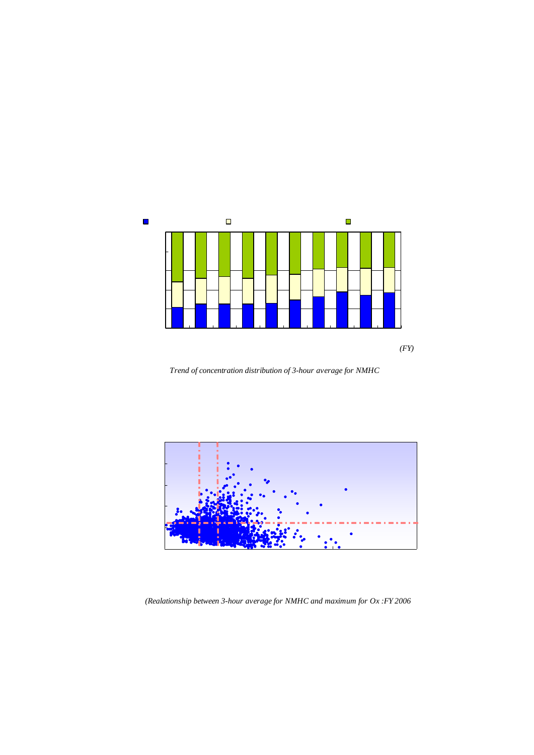

2 0.31ppmC  $\frac{2003}{ }$  $\Omega$  obtained by a strategies of  $\Omega$  obtained by  $\Omega$  0.06ppm  $\Omega$ 

QO6ppm



\*指針値:「光化学オキシダントの生成防止のための大気中炭化水素濃度の指針値 0.20ppmC から 0.31ppmC

*Trend of concentration distribution of 3-hour average for NMHC*



*(Realationship between 3-hour average for NMHC and maximum for Ox :FY 2006*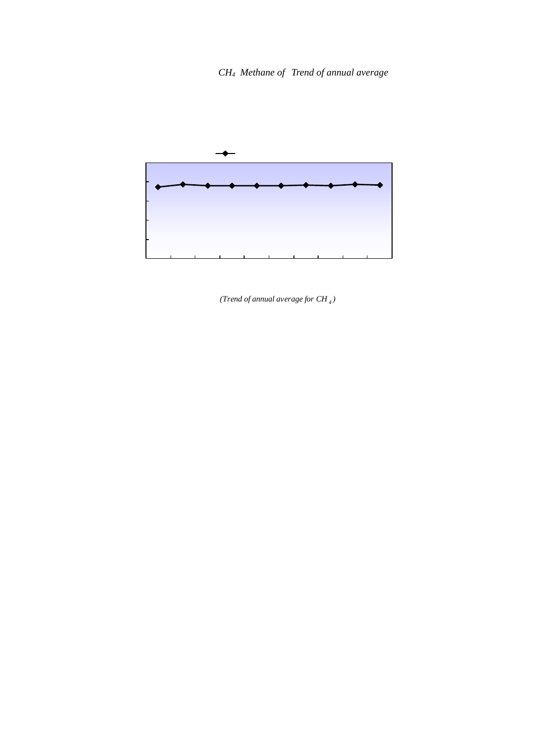1.92ppmC





*<sup>(</sup>Trend of annual average for CH <sup>4</sup> )*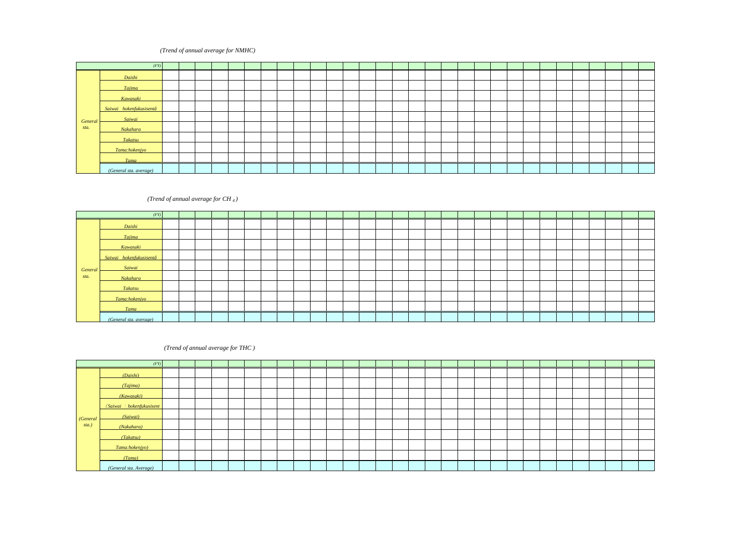## (Trend of annual average for NMHC)

|                |                         |      |            | ppmC            |                 |                 |     |                     |     |                 |     |                 |     |     |                  |               |                 |     |                 |     |                 |                 |     |             |               |             |          |                 |                |          |          |
|----------------|-------------------------|------|------------|-----------------|-----------------|-----------------|-----|---------------------|-----|-----------------|-----|-----------------|-----|-----|------------------|---------------|-----------------|-----|-----------------|-----|-----------------|-----------------|-----|-------------|---------------|-------------|----------|-----------------|----------------|----------|----------|
|                | (FY)                    | 77   | 78         | 79              | $80^{\circ}$    | 81              | 82  | 83                  | 84  | 85              | 86  | 87              | 88  | 89  | 90               | 91            | 92              | 93  | 94              | 95  | 96              | 97              | 98  | 99          | $\infty$      | $\Omega$    | $\infty$ | $\infty$        | O <sub>4</sub> | $\sigma$ | $\infty$ |
|                | Daishi                  |      |            |                 | $(062)$ $(056)$ | Q53             | Q53 | Q58                 | Q60 | Q57             | Q42 | Q <sub>52</sub> | Q47 | Q47 | $\Omega$ 47      |               |                 |     | Q43             | Q42 | Q <sub>42</sub> | 038             | Q36 |             | $0.35$ $0.35$ | Q4Q         | Q36      | Q <sub>32</sub> | 033            | Q36      | 035      |
|                | <b>Taiima</b>           |      |            | Q45             | Q47             | Q <sub>47</sub> | Q49 | 050                 | Q46 | Q45             | Q43 | Q50             | Q44 | Q50 | Q45              | Q45           | Q4Q             | Q40 | 038             | Q36 | Q37             | Q36             | Q39 | Q34         | $\sqrt{0.32}$ | Q34         | Q33      | Q <sub>37</sub> | 030            | 027      | 026      |
|                | Kawasaki                | Q99  | Q90        | Q59             | $\alpha$ 60     | 064             |     | $(056)$ $(073)$ 051 |     | Q <sub>52</sub> | Q52 | Q56             | Q53 | 050 |                  |               | 056 052 045 043 |     | Q43             | Q39 | Q41             | Q36             | Q36 | Q31         | $\Omega$ 32   | Q31         | 028      | Q27             | Q26            | 025      | 025      |
|                | Saiwai hokenfukusisentâ |      |            |                 |                 |                 | Q61 | Q56                 | Q54 | $\Omega$ 51     | Q49 | Q50             | Q46 | Q49 | $\sqrt{0.49}$    |               | Q50 Q45 Q45     |     | Q44             | 038 | 038             | Q37             | Q41 | Q37         | $\Omega$ 46   | 030         | Q34      | 028             | Q27            |          |          |
|                | Saiwai                  |      |            |                 |                 |                 |     |                     |     |                 |     |                 |     |     |                  |               |                 |     |                 |     |                 |                 |     |             |               |             |          |                 |                |          | 034 031  |
| Genero<br>sta. | <b>Nakahara</b>         |      |            |                 |                 | 060             | Q58 | 060                 | Q52 | Q51             | 058 | Q53             | Q48 | 048 | 047              | $\bigcap 47$  | Q41             | Q41 | 038             | Q36 | 038             | Q36             | Q37 |             | 0.32 0.32     | Q34         | Q33      | Q33             | 0.27           | 030      | 029      |
|                | Takatsu                 | Q82  | 085        | 058             | 066             | 0.62            | Q58 | 063                 | Q64 | Q53             | Q39 | Q55             | Q42 | Q46 | $\overline{052}$ | $\sqrt{0.58}$ | 050             | 050 | 050             | Q51 | Q52             | Q43             | Q44 |             |               | 038 036 038 | Q34      | Q31             | 030            | Q31      | 032      |
|                | Tama:hokenivo           |      |            | (062)           | Q57             | Q47             | Q49 | (050)               | Q48 | Q51             | Q54 | Q53             | Q51 | Q45 | Q46              | Q47           | Q45             |     |                 |     |                 |                 |     |             |               |             |          |                 |                |          |          |
|                | <b>Tama</b>             |      |            |                 |                 |                 |     |                     |     |                 |     |                 |     |     |                  |               |                 | Q43 | 038             | Q36 | Q37             | Q33             | Q36 | $0.32$ 0.31 |               | 030         | 025      | 025             | 027            | 028      | 027      |
|                | (General sta. average)  | _ດ91 | <b>Q88</b> | Q <sub>54</sub> | Q58             | 0.56            | Q55 | Q57                 | Q54 | Q51             | 048 | Q53             | Q47 | Q48 | Q49              | Q49           | $Q$ 44          | Q44 | Q <sub>42</sub> | Q4Q | Q <sub>41</sub> | Q <sub>37</sub> | Q38 | Q34         | $035$ 034     |             | 032      | 030             | 029            | 030      | 0.29     |

### *(Trend of annual average for CH <sup>4</sup> )*  $r = p$

|         |                         |      |      | <b>PMIN</b> |                        |      |      |           |      |      |      |      |      |      |      |      |      |           |      |      |      |      |      |      |          |          |          |          |          |          |      |
|---------|-------------------------|------|------|-------------|------------------------|------|------|-----------|------|------|------|------|------|------|------|------|------|-----------|------|------|------|------|------|------|----------|----------|----------|----------|----------|----------|------|
|         | (FY)                    | 77   | 78   | 79          | 80                     | -81  | 82   | 83        | 84   | 85   | 86   | 87   | 88   | 89   | 90   | 91   | 9    | 93        | 94   | 95   | 96   | 97   | 98   | 99   | $\infty$ | $\Omega$ | $\infty$ | $\infty$ | $\alpha$ | $\sigma$ | 06   |
|         | Daishi                  |      |      |             | $(1.72)$ $(1.75)$ 1.81 |      | 1.83 | 1.90      | 1.91 | 1.92 | 1.90 | 1.88 | 1.94 | 1.93 | 1.95 | 1.97 | 1.97 | 1.95      | 1.93 | 1.94 | 1.94 | 1.90 | 1.96 | 1.92 | 1.93     | 1.94     | 1.93     | 1.94     | 1.93     | 1.98     | 1.96 |
|         | <b>Tajima</b>           |      |      | 1.66        | 1.74                   | 1.73 | 1.76 | 1.84      | 1.81 | 1.85 | 1.82 | 1.83 | 1.84 | 1.90 | 1.89 | 1.92 | 1.93 | 1.93      | 1.91 | 1.91 | 1.89 | 1.87 | 1.95 | 1.89 | 1.89     | 1.92     | 1.95     | 1.97     | 1.95     | 201      | 1.98 |
|         | Kawasaki                | 1.76 | 1.81 |             | $1.73$ $(1.75)$ $1.79$ |      | 1.80 | 1.85      | 1.80 | 1.89 | 1.90 | 1.89 | 1.91 | 1.90 | 1.91 | 1.93 | 1.93 | 1.92      | 1.91 | 1.93 | 1.94 | 1.90 | 1.97 | 1.93 | 1.94     | 1.89     | 1.89     | 1.90     | 1.88     | 1.92     | 1.90 |
|         | Saiwai hokenfukusisentâ |      |      |             |                        |      | 1.77 | 1.80      | 1.82 | 1.83 | 1.84 | 1.86 | 1.85 | 1.89 | 1.89 | 1.92 | 1.91 | 1.90      | 1.90 | 1.91 | 1.92 | 1.88 | 1.94 | 1.90 | 1.92     | 1.92     | 1.94     | 1.94     | 1.93     |          |      |
| General | Saiwai                  |      |      |             |                        |      |      |           |      |      |      |      |      |      |      |      |      |           |      |      |      |      |      |      |          |          |          |          |          | 1.97     | 1.96 |
| sta.    | Nakahara                |      |      |             |                        | 1.78 | 1.83 | 1.84      | 1.86 | 1.87 | 1.87 | 1.88 | 1.95 | 1.91 | 1.91 | 1.95 | 1.93 | 1.96      | 1.91 | 1.92 | 1.92 | 1.90 | 1.92 | 1.90 | 1.87     | 1.90     | 1.89     | 1.92     | 1.91     | 1.92     | 1.90 |
|         | <b>Takatsu</b>          | 1.71 | 1.69 | 1.70        | 1.71                   | 1.69 | 1.76 | 1.84      | 1.82 | 1.77 | 1.82 | 1.84 | 1.84 | 1.87 | 1.91 | 1.90 |      | 1.90 1.88 | 1.87 | 1.89 | 1.88 | 1.85 | 1.90 | 1.89 | 1.89     | 1.91     | 1.90     | 1.91     | 1.89     | 1.93     | 1.91 |
|         | Tama:hokenjyo           |      |      | (1.72)      | 1.73                   | 1.73 | 1.78 | 1.83 1.81 |      | 1.82 | 1.85 | 1.87 | 1.83 | 1.85 | 1.86 | 1.88 | 1.88 |           |      |      |      |      |      |      |          |          |          |          |          |          |      |
|         | Tama                    |      |      |             |                        |      |      |           |      |      |      |      |      |      |      |      |      | 1.90      | 1.87 | 1.88 | 1.87 | 1.82 | 1.88 | 1.87 | 1.88     | 1.85     | 1.85     | 1.86     | 1.83     | 1.87     | 1.86 |
|         | (General sta. average)  | 1.74 | 1.75 |             | 1.70 1.73              | 1.76 | 1.79 | 1.84      | 1.83 | 1.85 | 1.86 | 1.86 | 1.88 | 1.89 | 1.90 | 1.92 | 1.92 | 1.92      | 1.90 | 1.91 | 1.91 | 1.87 | 1.93 | 1.90 | 1.90     | 1.90     | 1.91     | 1.92     | 1.90     | 1.94     | 1.92 |

## $(Trend of annual average for THC)$

|         |                           |     |     | ppmC  |              |     |     |                 |     |     |     |     |     |     |     |     |     |     |     |     |     |     |     |      |          |          |          |          |           |          |          |
|---------|---------------------------|-----|-----|-------|--------------|-----|-----|-----------------|-----|-----|-----|-----|-----|-----|-----|-----|-----|-----|-----|-----|-----|-----|-----|------|----------|----------|----------|----------|-----------|----------|----------|
|         | (FY)                      | 77  | 78  | 79    | $80^{\circ}$ | 81  | 82  | 83              | 84  | 85  | 86  | 87  | 88  | 89  | 90  | 91  | 92  | 93  | 94  | 95  | 96  | 97  | 98  | 99   | $\infty$ | $\sigma$ | $\infty$ | $\alpha$ | <b>O4</b> | $\sigma$ | $\infty$ |
|         | (Daishi)                  |     |     | (235) | (231)        | 234 | 236 | 248             | 251 | 249 | 233 | 240 | 241 | 241 | 242 | 244 | 240 | 238 | 236 | 236 | 236 | 228 | 232 | 227  | 228      | 234      | 229      | 226      | 226       | 235      | 231      |
|         | (Taiima)                  |     |     | 211   | 220          | 220 | 225 | 234             | 228 | 230 | 225 | 234 | 228 | 239 | 234 | 237 | 233 | 233 | 229 | 226 | 226 | 223 | 234 | 2.24 | 221      | 226      | 228      | 234      | 226       | 228      | 225      |
|         | (Kawasaki)                | 275 | 270 | 233   | 235          | 244 |     | $(236)$ $(258)$ | 231 | 241 | 242 | 245 | 244 | 241 | 246 | 245 | 238 | 235 | 234 | 232 | 235 | 225 | 232 | 224  | 226      | 221      | 218      | 217      | 214       | 217      | 215      |
|         | (Saiwai : hokenfukusisent |     |     |       |              |     | 238 | 236             | 237 | 234 | 233 | 235 | 232 | 238 | 238 | 241 | 237 | 236 | 235 | 229 | 230 | 225 | 235 | 227  | 237      | 222      | 228      | 222      | 221       |          |          |
| (Genera | (Saiwai)                  |     |     |       |              |     |     |                 |     |     |     |     |     |     |     |     |     |     |     |     |     |     |     |      |          |          |          |          |           | 231      | 227      |
| sta.)   | (Nakahara)                |     |     |       |              | 238 | 242 | 245             | 238 | 238 | 245 | 241 | 243 | 239 | 238 | 242 | 234 | 236 | 229 | 229 | 230 | 226 | 230 | 222  | 219      | 224      | 222      | 226      | 218       | 223      | 219      |
|         | (Takatsu)                 | 255 | 254 | 228   | 237          | 231 | 234 | 247             | 246 | 230 | 221 | 238 | 226 | 234 | 244 | 248 | 240 | 238 | 237 | 240 | 240 | 228 | 233 | 227  | 225      | 228      | 224      | 222      | 219       | 224      | 223      |
|         | (Tama:hokenivo)           |     |     | (234) | 230          | 220 | 227 | (232)           | 229 | 233 | 239 | 239 | 235 | 230 | 232 | 235 | 232 |     |     |     |     |     |     |      |          |          |          |          |           |          |          |
|         | (Tama)                    |     |     |       |              |     |     |                 |     |     |     |     |     |     |     |     |     | 233 | 225 | 224 | 224 | 215 | 224 | 219  | 218      | 215      | 210      | 210      | 210       | 215      | 213      |
|         | (General sta, Average)    | 265 | 262 | 224   | 231          | 231 | 234 | 242             | 237 | 236 | 234 | 239 | 236 | 237 | 239 | 242 | 236 | 236 | 232 | 231 | 232 | 224 | 231 | 224  | 225      | 224      | 223      | 222      | 219       | 225      | 222      |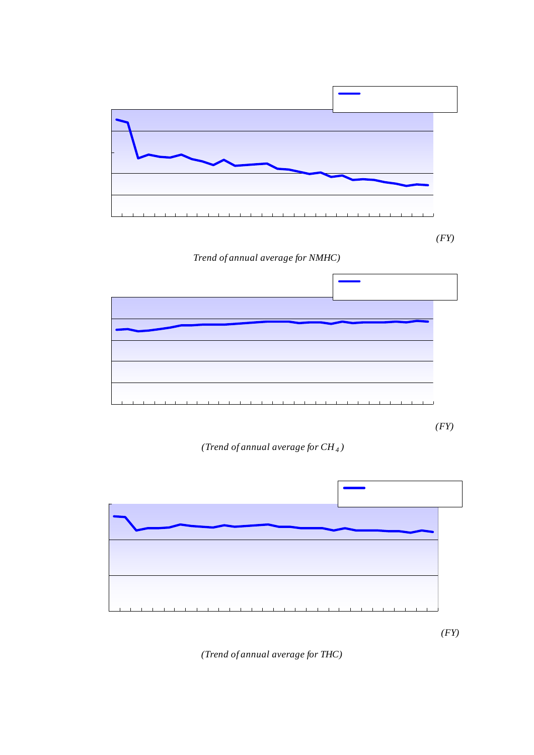



*(Trend of annual average for CH4 )*



*(Trend of annual average for THC)*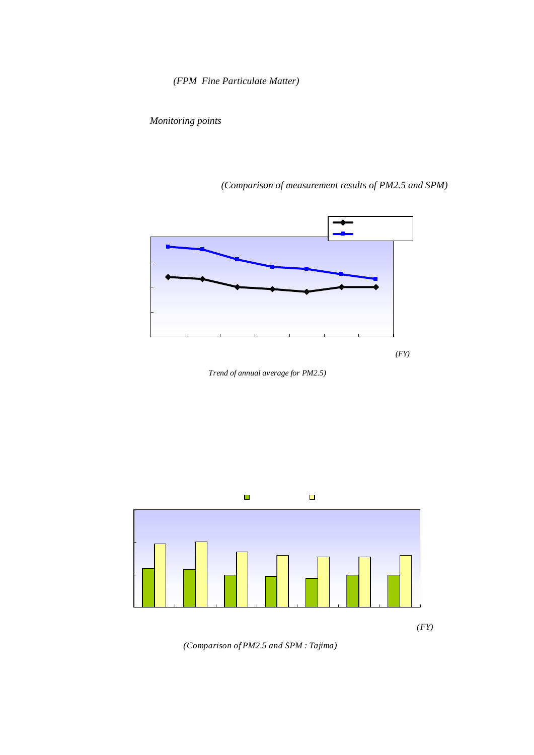

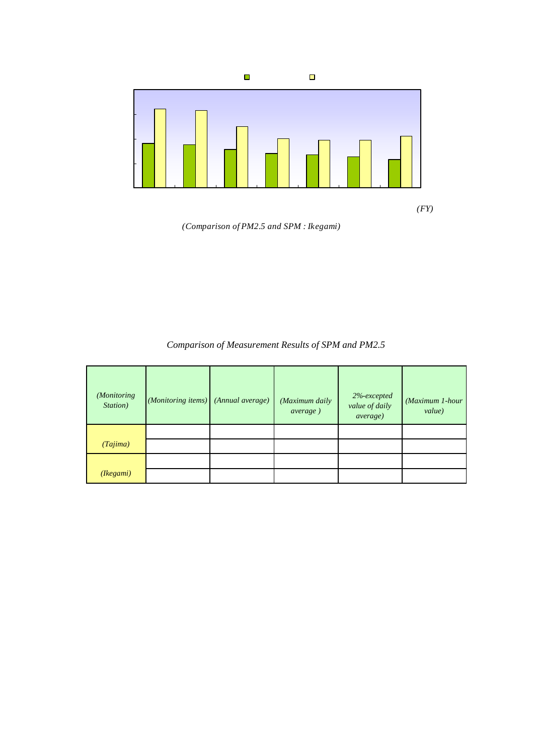



# 1 PM25 SPM

*Comparison of Measurement Results of SPM and PM2.5*

|                         |                    |                  |                                    |                                                           | $mq/m^3$                  |
|-------------------------|--------------------|------------------|------------------------------------|-----------------------------------------------------------|---------------------------|
| (Monitoring<br>Station) | (Monitoring items) | (Annual average) | (Maximum daily<br><i>average</i> ) | 2<br>$2%$ -excepted<br>value of daily<br><i>average</i> ) | (Maximum 1-hour<br>value) |
|                         | PM <sub>25</sub>   | 0020             | 0 <sub>0</sub> 53                  | <b>QO44</b>                                               | Q094                      |
| (Tajima)                | <b>SPM</b>         | 0032             | Q131                               | Q089                                                      | 0.252                     |
|                         | PM <sub>25</sub>   | 0023             | 0056                               | QO43                                                      | 0000                      |
| (Kegami)                | <b>SPM</b>         | <b>QO42</b>      | Q197                               | 0105                                                      | 0332                      |

| EPA( | ) PM25                    |    |   |  |
|------|---------------------------|----|---|--|
| 24   | 35µ g/m <sup>3</sup> 24   | 98 | 3 |  |
|      | 15 $\mu$ g/m <sup>3</sup> | 3  |   |  |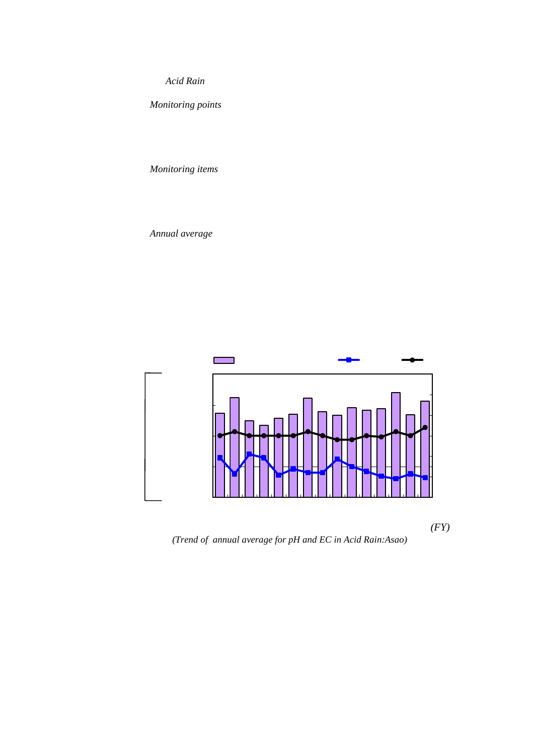

(1)測定地点 *Monitoring points*



# (2)測定項目 *Monitoring items*

| pH   | EC | pH EC |  |
|------|----|-------|--|
| 05mm |    |       |  |





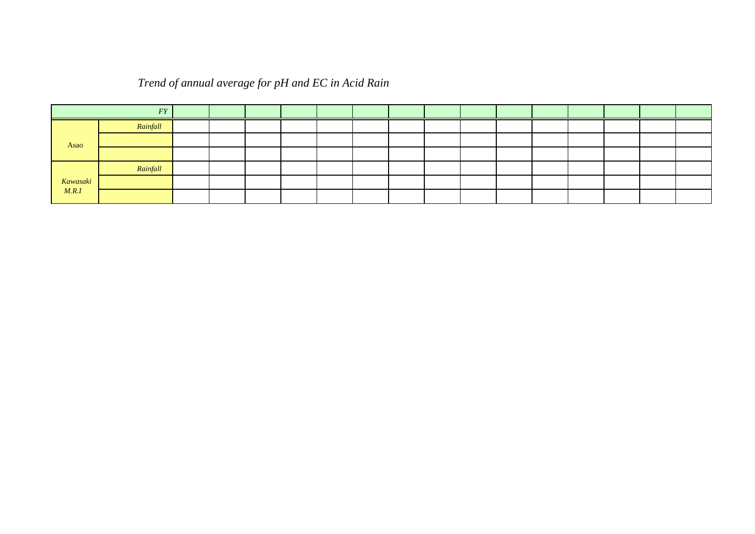|          |          |                          |       | mm     | $EC \mu S/cm$            |                          |                          |                          |                          |                          |                          |                          |                          |          |          |          |
|----------|----------|--------------------------|-------|--------|--------------------------|--------------------------|--------------------------|--------------------------|--------------------------|--------------------------|--------------------------|--------------------------|--------------------------|----------|----------|----------|
|          | (FY)     | 92                       | 93    | 94     | 95                       | 96                       | 97                       | 98                       | 99                       | $\infty$                 | $\Omega$                 | $\Omega$                 | $\infty$                 | $\Omega$ | $\infty$ | $\infty$ |
|          | Rainfall | 1361.0                   | 16165 | 1241.0 | 1169.5                   | 1287.5                   | 1351.5                   | 1607.0                   | 13880                    | 1334.0                   | 1451.0                   | 14125                    | 14400                    | 16985    | 1341.0   | 1557.5   |
| Asao     | н        | 45                       | 46    | 4.5    | 4.5                      | 45                       | 45                       | 46                       | 4.5                      | 44                       | 44                       | 45                       | 45                       | 46       | 45       | 4.7      |
|          | EC       | 32                       | 19    | 35     | 32                       | 18                       | 23                       | 20                       | 20                       | 31                       | 25                       | 21                       | 17                       | 15       | 19       | 16       |
|          | Rainfall | $\overline{\phantom{0}}$ | -     | -      | $\overline{\phantom{0}}$ | $\overline{\phantom{0}}$ | $\overline{\phantom{0}}$ | $\overline{\phantom{0}}$ | $\overline{\phantom{0}}$ | $\overline{\phantom{0}}$ | $\overline{\phantom{0}}$ | $\overline{\phantom{0}}$ | $\overline{\phantom{0}}$ | 1599.5   | 13785    | 15665    |
| Kawasaki | н        |                          |       |        | $\overline{\phantom{a}}$ | -                        | -                        | $\overline{\phantom{0}}$ | $\overline{\phantom{0}}$ | $\overline{\phantom{0}}$ | -                        |                          |                          | 4.7      | 4.7      | 4.9      |
| M.R.I    | EC       |                          |       |        | $\overline{\phantom{0}}$ | -                        | $\overline{\phantom{0}}$ | $\overline{\phantom{0}}$ | $\overline{\phantom{0}}$ | $\overline{\phantom{0}}$ | $\overline{\phantom{0}}$ | $\overline{\phantom{0}}$ |                          | 20       | ำ        | 20       |

# *Trend of annual average for pH and EC in Acid Rain*

注)麻生局は1991年8月から、公害研究所は2003年10月から測定を開始した。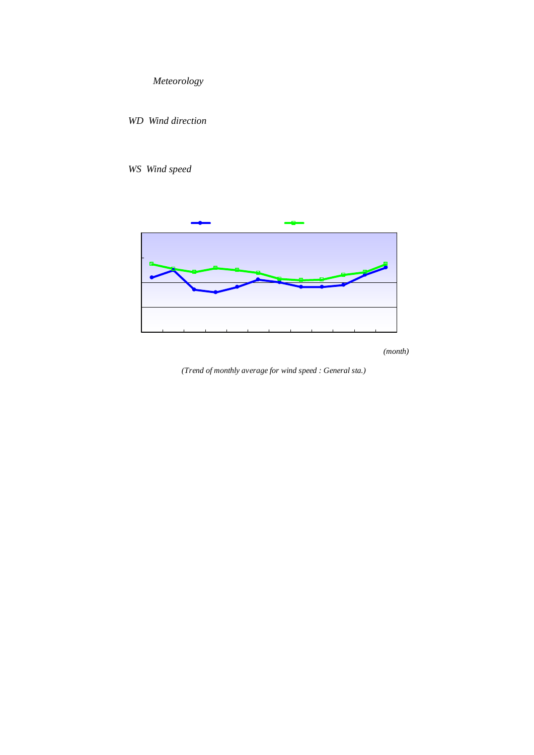

*(Trend of monthly average for wind speed : General sta.)*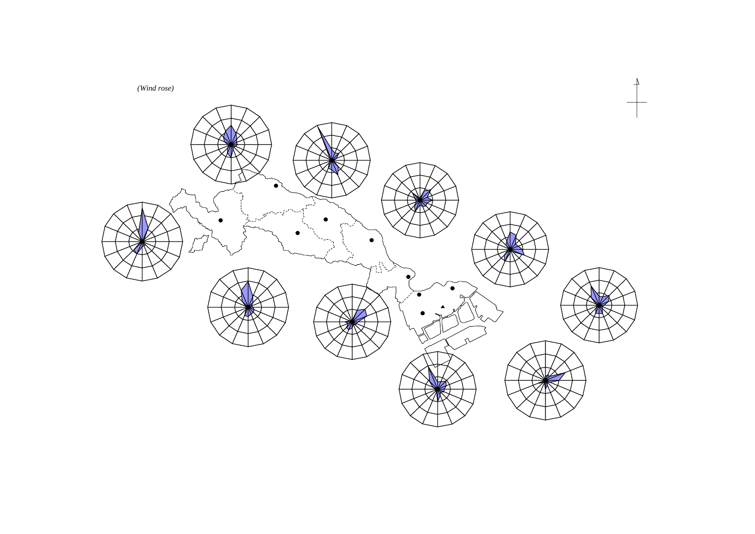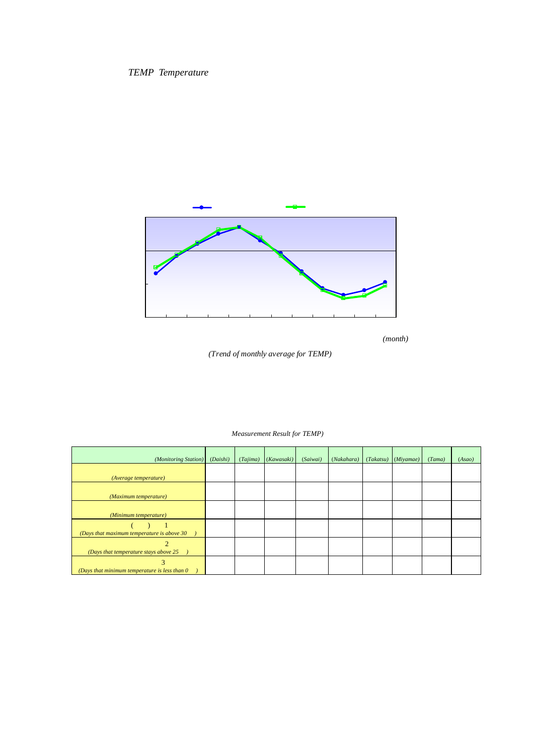





| (Measurement Result for TEMP) |  |
|-------------------------------|--|

| (Monitoring Station)                                                                  | (Daishi) | (Tajima)       | (Kawasaki) | (Saiwai) | (Nakahara) | (Takatsu) | (Miyamae) | (Tama) | (Asao) |
|---------------------------------------------------------------------------------------|----------|----------------|------------|----------|------------|-----------|-----------|--------|--------|
| (Average temperature)                                                                 | 164      | 17.0           | 165        | 15.8     | 166        | 165       | 162       | 160    | 159    |
| (Maximum temperature)                                                                 | 34.8     | 35.6           | 35.5       | 339      | 363        | 34.8      | 362       | 35.7   | 35.5   |
| (Minimum temperature)                                                                 | Q5       | Q <sub>2</sub> | 02         | Q5       | $-Q1$      | Q3        | $-04$     | $-0.9$ | $-07$  |
| $\ldots$ 1<br>(Days that maximum temperature is above 30                              | 25       | 37             | 29         | 24       | 41         | 34        | 40        | 31     | 32     |
| $\overline{2}$<br><b>Alberta</b><br>(Days that temperature stays above 25)            | 15       | 26             | 17         | 11       | 18         | 18        | 15        | 13     | 11     |
| 3<br>$\mathbf{1}$ and $\mathbf{1}$<br>(Days that minimum temperature is less than $0$ | $\Omega$ | $\Omega$       | O          | 0        | 1          | $\Omega$  | 2         | 3      |        |

| ำ              | 30 |
|----------------|----|
| $\overline{2}$ | 25 |
| $\mathcal{B}$  | ∩  |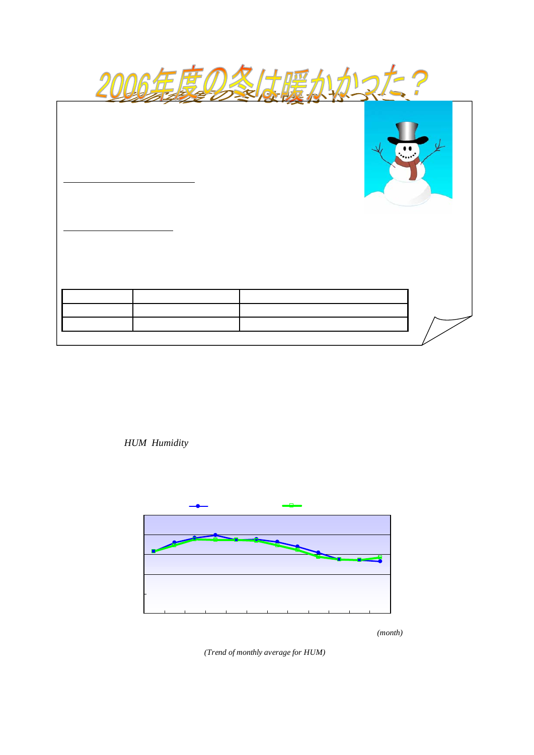| 2006<br>$20\,$ | 2006 |       |         |           |                          |           |                     |  |
|----------------|------|-------|---------|-----------|--------------------------|-----------|---------------------|--|
| 2006           |      |       |         | 3         | $20\,$                   |           |                     |  |
|                |      |       | 1995    | 43        |                          |           |                     |  |
| 2006           |      |       |         | $-09$ (   | $\overline{\phantom{a}}$ |           | $\pmb{\mathcal{X}}$ |  |
| (              |      | 1987  | $($ $)$ |           |                          | $\lambda$ | $-50$               |  |
|                | 2006 |       |         |           |                          |           |                     |  |
|                |      | 2006  |         | 1987-2005 |                          |           |                     |  |
|                |      | 3     |         |           |                          |           |                     |  |
|                |      | $-09$ |         | $-36$     |                          |           |                     |  |
|                |      |       |         |           |                          |           |                     |  |



*(Trend of monthly average for HUM)*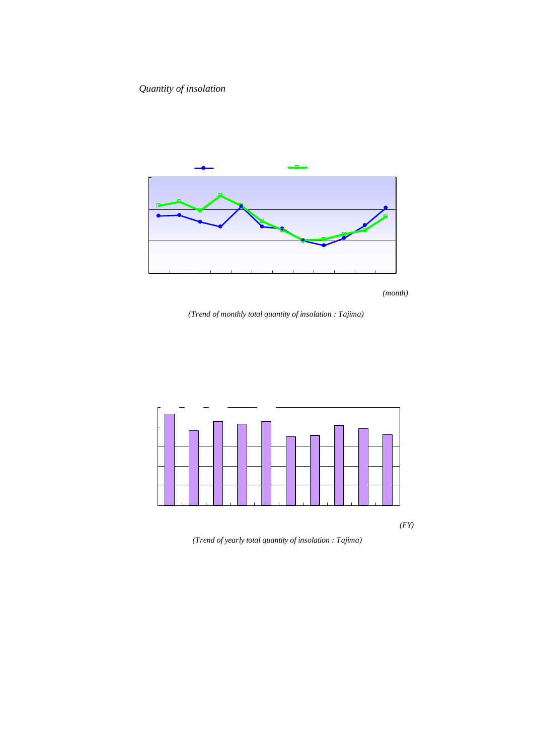

*(Trend of monthly total quantity of insolation : Tajima)*



*(Trend of yearly total quantity of insolation : Tajima)*